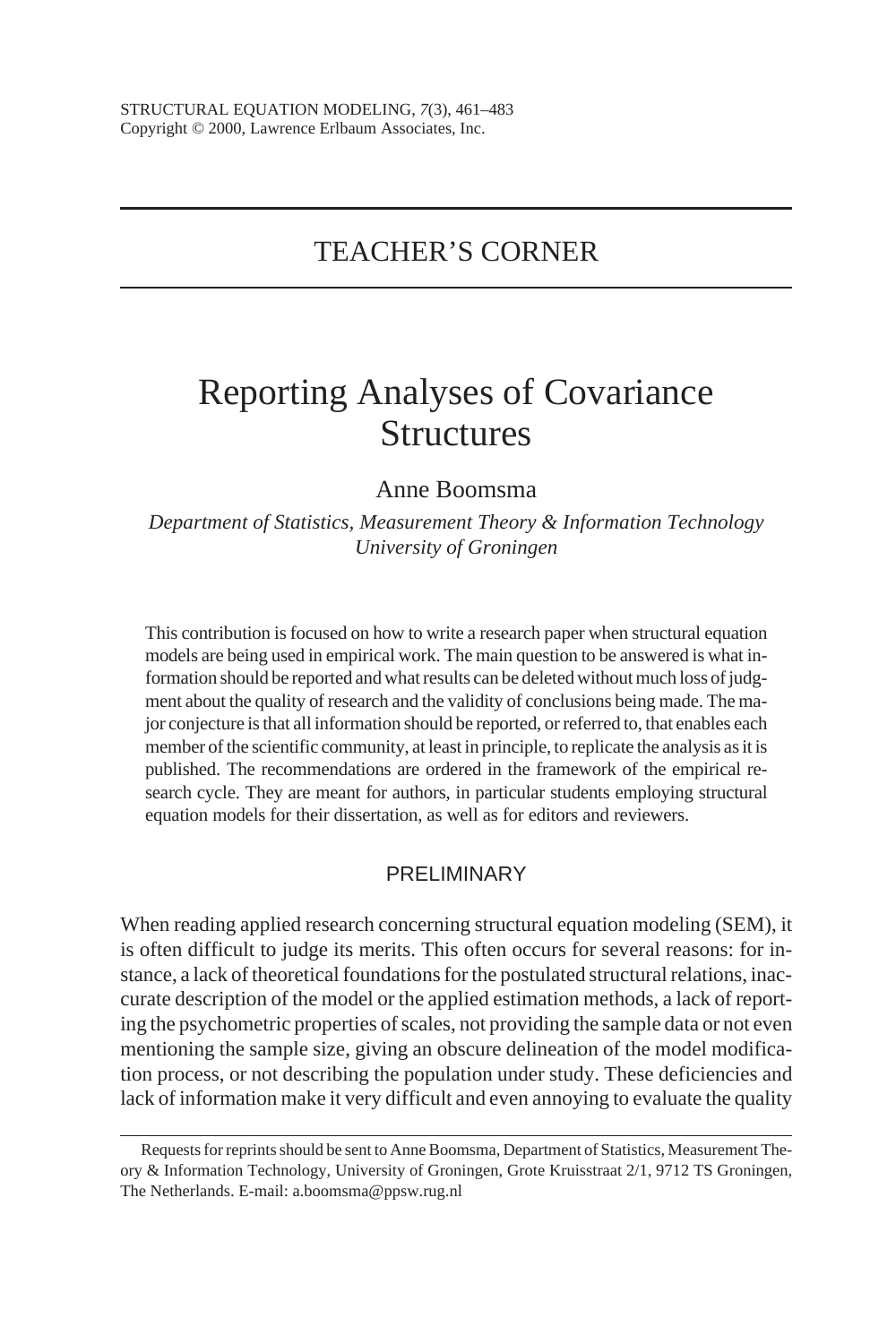# TEACHER'S CORNER

# Reporting Analyses of Covariance **Structures**

Anne Boomsma

*Department of Statistics, Measurement Theory & Information Technology University of Groningen*

This contribution is focused on how to write a research paper when structural equation models are being used in empirical work. The main question to be answered is what information should be reported and what results can be deleted without much loss of judgment about the quality of research and the validity of conclusions being made. The major conjecture is that all information should be reported, or referred to, that enables each member of the scientific community, at least in principle, to replicate the analysis as it is published. The recommendations are ordered in the framework of the empirical research cycle. They are meant for authors, in particular students employing structural equation models for their dissertation, as well as for editors and reviewers.

#### PRELIMINARY

When reading applied research concerning structural equation modeling (SEM), it is often difficult to judge its merits. This often occurs for several reasons: for instance, a lack of theoretical foundations for the postulated structural relations, inaccurate description of the model or the applied estimation methods, a lack of reporting the psychometric properties of scales, not providing the sample data or not even mentioning the sample size, giving an obscure delineation of the model modification process, or not describing the population under study. These deficiencies and lack of information make it very difficult and even annoying to evaluate the quality

Requests for reprints should be sent to Anne Boomsma, Department of Statistics, Measurement Theory & Information Technology, University of Groningen, Grote Kruisstraat 2/1, 9712 TS Groningen, The Netherlands. E-mail: a.boomsma@ppsw.rug.nl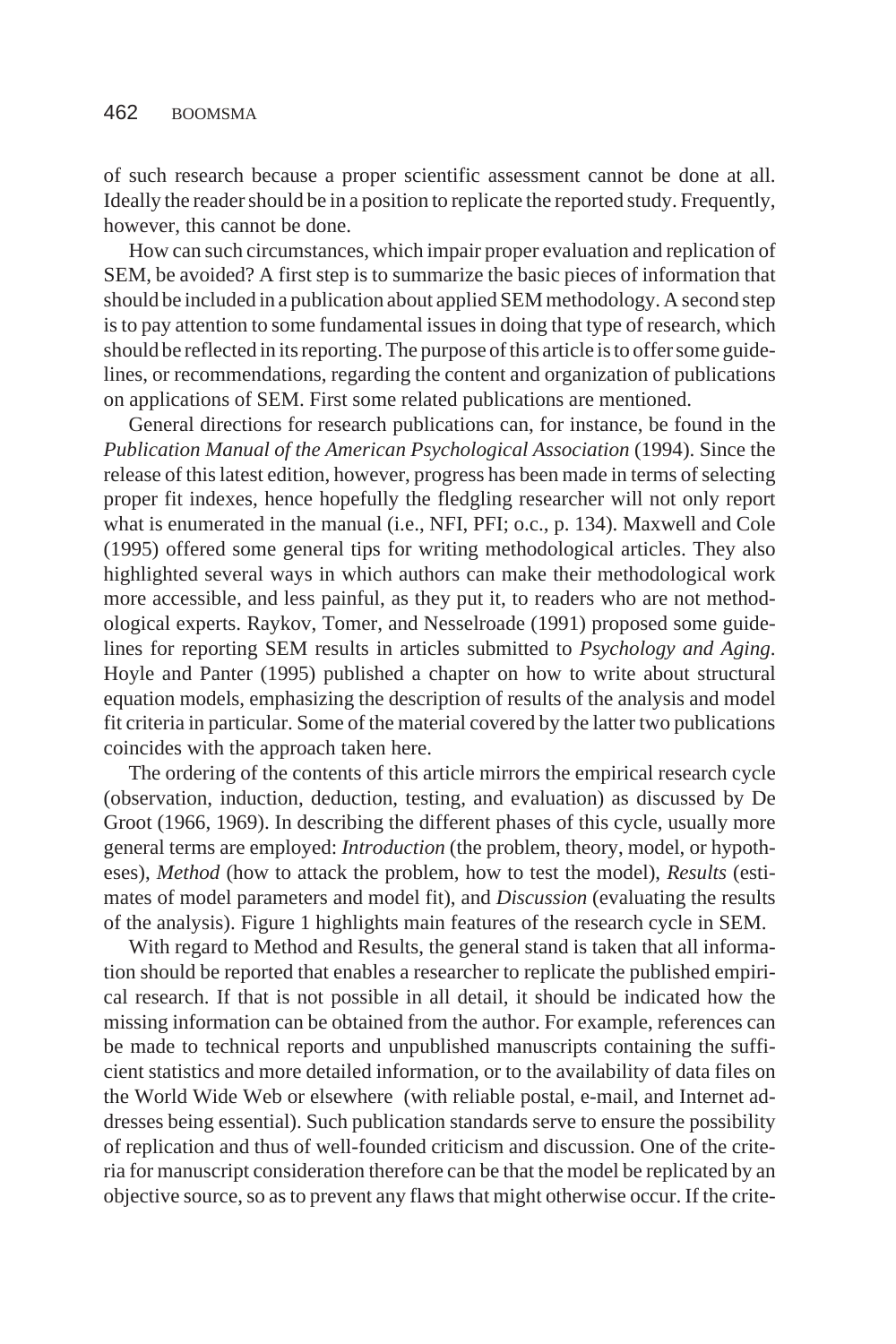of such research because a proper scientific assessment cannot be done at all. Ideally the reader should be in a position to replicate the reported study. Frequently, however, this cannot be done.

How can such circumstances, which impair proper evaluation and replication of SEM, be avoided? A first step is to summarize the basic pieces of information that should be included in a publication about applied SEM methodology. A second step is to pay attention to some fundamental issues in doing that type of research, which should be reflected in its reporting. The purpose of this article is to offer some guidelines, or recommendations, regarding the content and organization of publications on applications of SEM. First some related publications are mentioned.

General directions for research publications can, for instance, be found in the *Publication Manual of the American Psychological Association* (1994). Since the release of this latest edition, however, progress has been made in terms of selecting proper fit indexes, hence hopefully the fledgling researcher will not only report what is enumerated in the manual (i.e., NFI, PFI; o.c., p. 134). Maxwell and Cole (1995) offered some general tips for writing methodological articles. They also highlighted several ways in which authors can make their methodological work more accessible, and less painful, as they put it, to readers who are not methodological experts. Raykov, Tomer, and Nesselroade (1991) proposed some guidelines for reporting SEM results in articles submitted to *Psychology and Aging*. Hoyle and Panter (1995) published a chapter on how to write about structural equation models, emphasizing the description of results of the analysis and model fit criteria in particular. Some of the material covered by the latter two publications coincides with the approach taken here.

The ordering of the contents of this article mirrors the empirical research cycle (observation, induction, deduction, testing, and evaluation) as discussed by De Groot (1966, 1969). In describing the different phases of this cycle, usually more general terms are employed: *Introduction* (the problem, theory, model, or hypotheses), *Method* (how to attack the problem, how to test the model), *Results* (estimates of model parameters and model fit), and *Discussion* (evaluating the results of the analysis). Figure 1 highlights main features of the research cycle in SEM.

With regard to Method and Results, the general stand is taken that all information should be reported that enables a researcher to replicate the published empirical research. If that is not possible in all detail, it should be indicated how the missing information can be obtained from the author. For example, references can be made to technical reports and unpublished manuscripts containing the sufficient statistics and more detailed information, or to the availability of data files on the World Wide Web or elsewhere (with reliable postal, e-mail, and Internet addresses being essential). Such publication standards serve to ensure the possibility of replication and thus of well-founded criticism and discussion. One of the criteria for manuscript consideration therefore can be that the model be replicated by an objective source, so as to prevent any flaws that might otherwise occur. If the crite-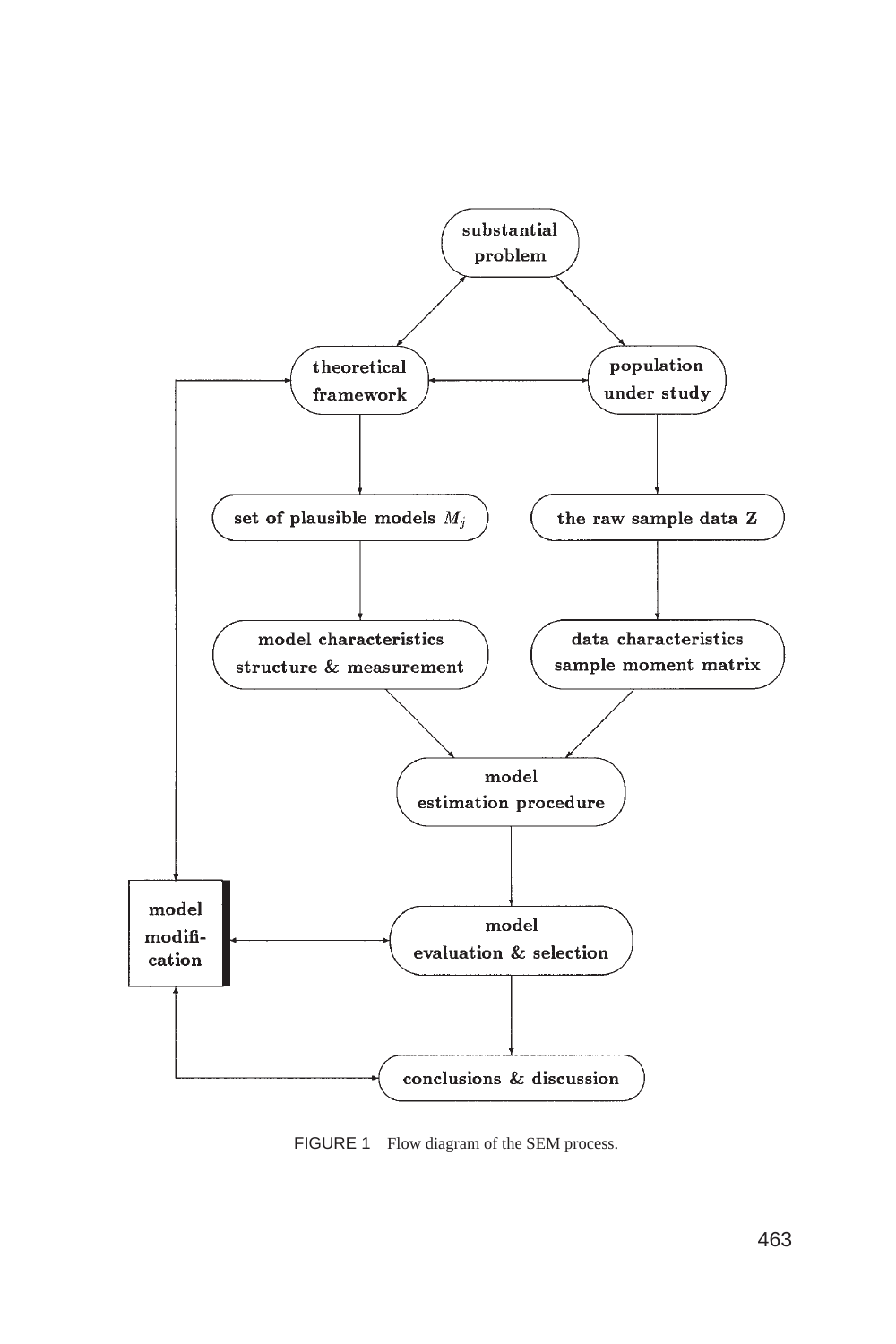

FIGURE 1 Flow diagram of the SEM process.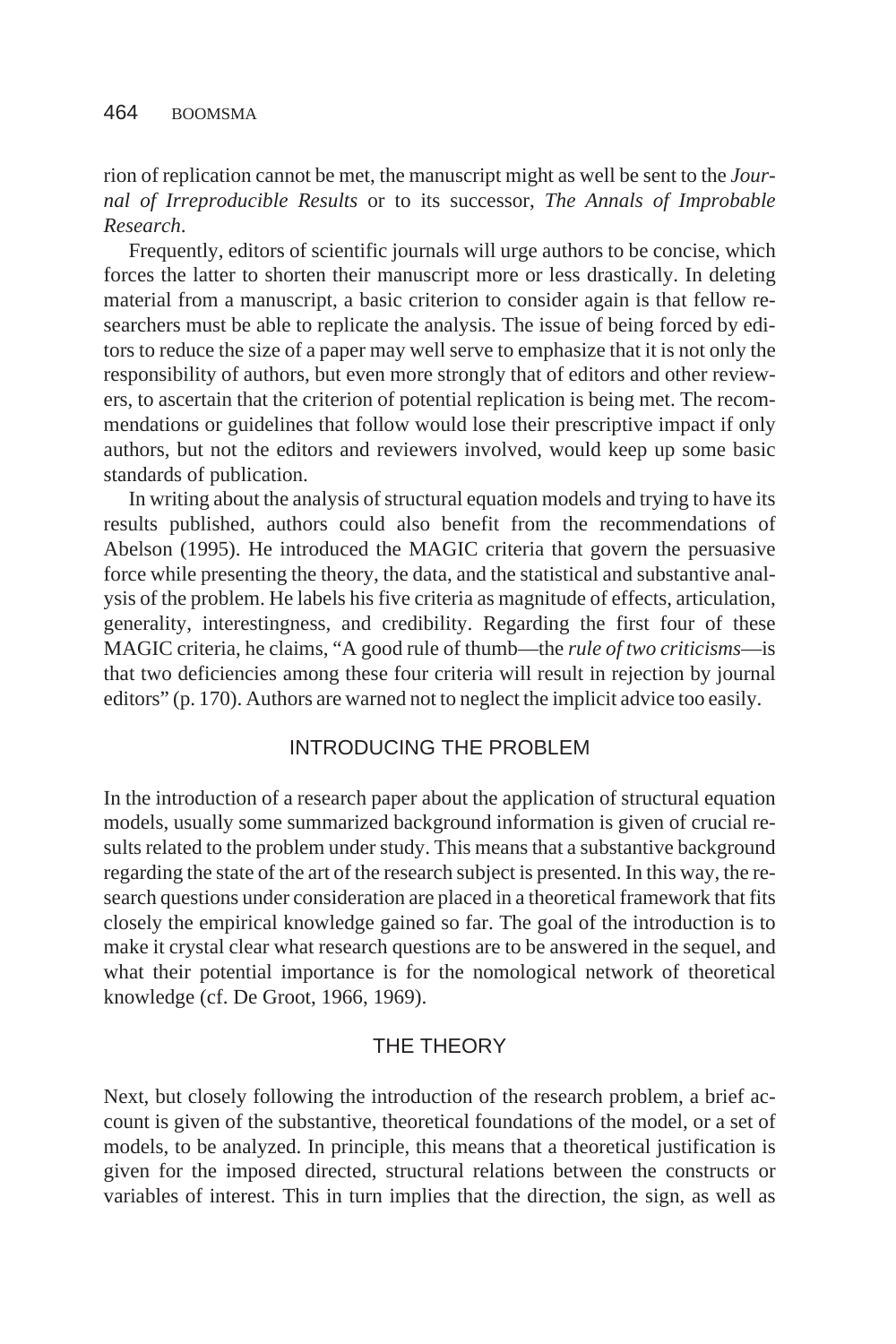rion of replication cannot be met, the manuscript might as well be sent to the *Journal of Irreproducible Results* or to its successor, *The Annals of Improbable Research*.

Frequently, editors of scientific journals will urge authors to be concise, which forces the latter to shorten their manuscript more or less drastically. In deleting material from a manuscript, a basic criterion to consider again is that fellow researchers must be able to replicate the analysis. The issue of being forced by editors to reduce the size of a paper may well serve to emphasize that it is not only the responsibility of authors, but even more strongly that of editors and other reviewers, to ascertain that the criterion of potential replication is being met. The recommendations or guidelines that follow would lose their prescriptive impact if only authors, but not the editors and reviewers involved, would keep up some basic standards of publication.

In writing about the analysis of structural equation models and trying to have its results published, authors could also benefit from the recommendations of Abelson (1995). He introduced the MAGIC criteria that govern the persuasive force while presenting the theory, the data, and the statistical and substantive analysis of the problem. He labels his five criteria as magnitude of effects, articulation, generality, interestingness, and credibility. Regarding the first four of these MAGIC criteria, he claims, "A good rule of thumb—the *rule of two criticisms*—is that two deficiencies among these four criteria will result in rejection by journal editors" (p. 170). Authors are warned not to neglect the implicit advice too easily.

#### INTRODUCING THE PROBLEM

In the introduction of a research paper about the application of structural equation models, usually some summarized background information is given of crucial results related to the problem under study. This means that a substantive background regarding the state of the art of the research subject is presented. In this way, the research questions under consideration are placed in a theoretical framework that fits closely the empirical knowledge gained so far. The goal of the introduction is to make it crystal clear what research questions are to be answered in the sequel, and what their potential importance is for the nomological network of theoretical knowledge (cf. De Groot, 1966, 1969).

# THE THEORY

Next, but closely following the introduction of the research problem, a brief account is given of the substantive, theoretical foundations of the model, or a set of models, to be analyzed. In principle, this means that a theoretical justification is given for the imposed directed, structural relations between the constructs or variables of interest. This in turn implies that the direction, the sign, as well as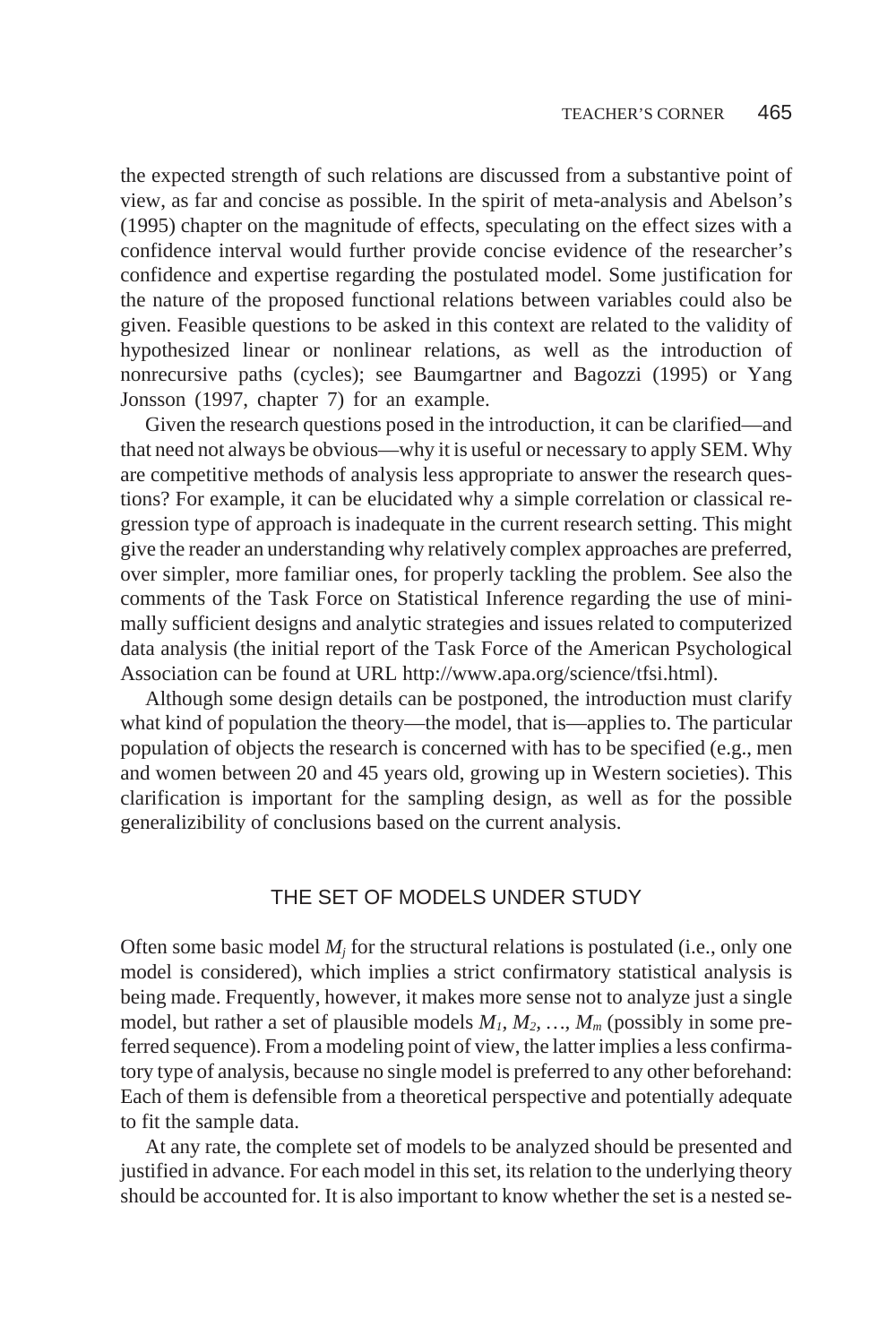the expected strength of such relations are discussed from a substantive point of view, as far and concise as possible. In the spirit of meta-analysis and Abelson's (1995) chapter on the magnitude of effects, speculating on the effect sizes with a confidence interval would further provide concise evidence of the researcher's confidence and expertise regarding the postulated model. Some justification for the nature of the proposed functional relations between variables could also be given. Feasible questions to be asked in this context are related to the validity of hypothesized linear or nonlinear relations, as well as the introduction of nonrecursive paths (cycles); see Baumgartner and Bagozzi (1995) or Yang Jonsson (1997, chapter 7) for an example.

Given the research questions posed in the introduction, it can be clarified—and that need not always be obvious—why it is useful or necessary to apply SEM. Why are competitive methods of analysis less appropriate to answer the research questions? For example, it can be elucidated why a simple correlation or classical regression type of approach is inadequate in the current research setting. This might give the reader an understanding why relatively complex approaches are preferred, over simpler, more familiar ones, for properly tackling the problem. See also the comments of the Task Force on Statistical Inference regarding the use of minimally sufficient designs and analytic strategies and issues related to computerized data analysis (the initial report of the Task Force of the American Psychological Association can be found at URL http://www.apa.org/science/tfsi.html).

Although some design details can be postponed, the introduction must clarify what kind of population the theory—the model, that is—applies to. The particular population of objects the research is concerned with has to be specified (e.g., men and women between 20 and 45 years old, growing up in Western societies). This clarification is important for the sampling design, as well as for the possible generalizibility of conclusions based on the current analysis.

# THE SET OF MODELS UNDER STUDY

Often some basic model  $M_i$  for the structural relations is postulated (i.e., only one model is considered), which implies a strict confirmatory statistical analysis is being made. Frequently, however, it makes more sense not to analyze just a single model, but rather a set of plausible models  $M_1, M_2, ..., M_m$  (possibly in some preferred sequence). From a modeling point of view, the latter implies a less confirmatory type of analysis, because no single model is preferred to any other beforehand: Each of them is defensible from a theoretical perspective and potentially adequate to fit the sample data.

At any rate, the complete set of models to be analyzed should be presented and justified in advance. For each model in this set, its relation to the underlying theory should be accounted for. It is also important to know whether the set is a nested se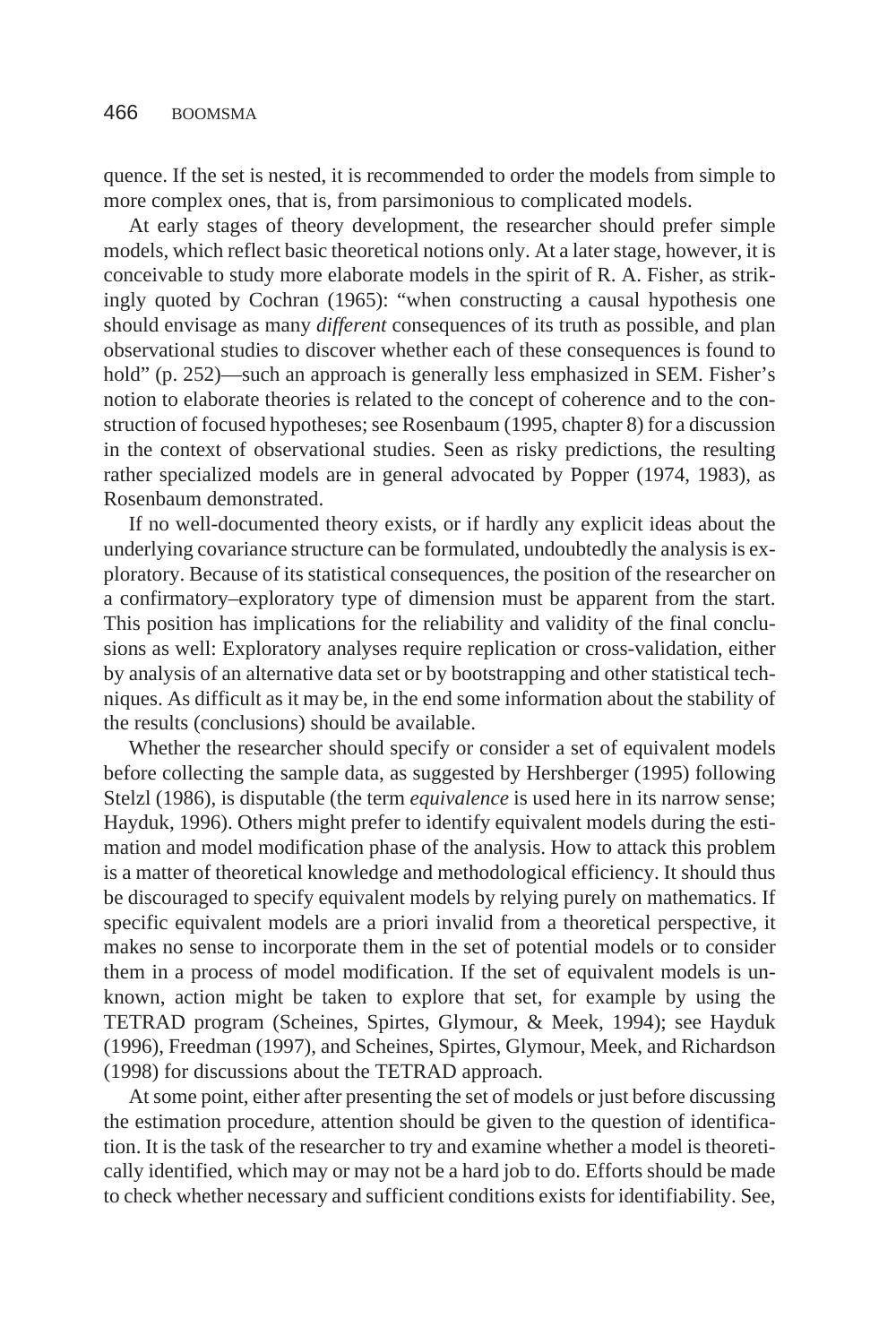quence. If the set is nested, it is recommended to order the models from simple to more complex ones, that is, from parsimonious to complicated models.

At early stages of theory development, the researcher should prefer simple models, which reflect basic theoretical notions only. At a later stage, however, it is conceivable to study more elaborate models in the spirit of R. A. Fisher, as strikingly quoted by Cochran (1965): "when constructing a causal hypothesis one should envisage as many *different* consequences of its truth as possible, and plan observational studies to discover whether each of these consequences is found to hold" (p. 252)—such an approach is generally less emphasized in SEM. Fisher's notion to elaborate theories is related to the concept of coherence and to the construction of focused hypotheses; see Rosenbaum (1995, chapter 8) for a discussion in the context of observational studies. Seen as risky predictions, the resulting rather specialized models are in general advocated by Popper (1974, 1983), as Rosenbaum demonstrated.

If no well-documented theory exists, or if hardly any explicit ideas about the underlying covariance structure can be formulated, undoubtedly the analysis is exploratory. Because of its statistical consequences, the position of the researcher on a confirmatory–exploratory type of dimension must be apparent from the start. This position has implications for the reliability and validity of the final conclusions as well: Exploratory analyses require replication or cross-validation, either by analysis of an alternative data set or by bootstrapping and other statistical techniques. As difficult as it may be, in the end some information about the stability of the results (conclusions) should be available.

Whether the researcher should specify or consider a set of equivalent models before collecting the sample data, as suggested by Hershberger (1995) following Stelzl (1986), is disputable (the term *equivalence* is used here in its narrow sense; Hayduk, 1996). Others might prefer to identify equivalent models during the estimation and model modification phase of the analysis. How to attack this problem is a matter of theoretical knowledge and methodological efficiency. It should thus be discouraged to specify equivalent models by relying purely on mathematics. If specific equivalent models are a priori invalid from a theoretical perspective, it makes no sense to incorporate them in the set of potential models or to consider them in a process of model modification. If the set of equivalent models is unknown, action might be taken to explore that set, for example by using the TETRAD program (Scheines, Spirtes, Glymour, & Meek, 1994); see Hayduk (1996), Freedman (1997), and Scheines, Spirtes, Glymour, Meek, and Richardson (1998) for discussions about the TETRAD approach.

At some point, either after presenting the set of models or just before discussing the estimation procedure, attention should be given to the question of identification. It is the task of the researcher to try and examine whether a model is theoretically identified, which may or may not be a hard job to do. Efforts should be made to check whether necessary and sufficient conditions exists for identifiability. See,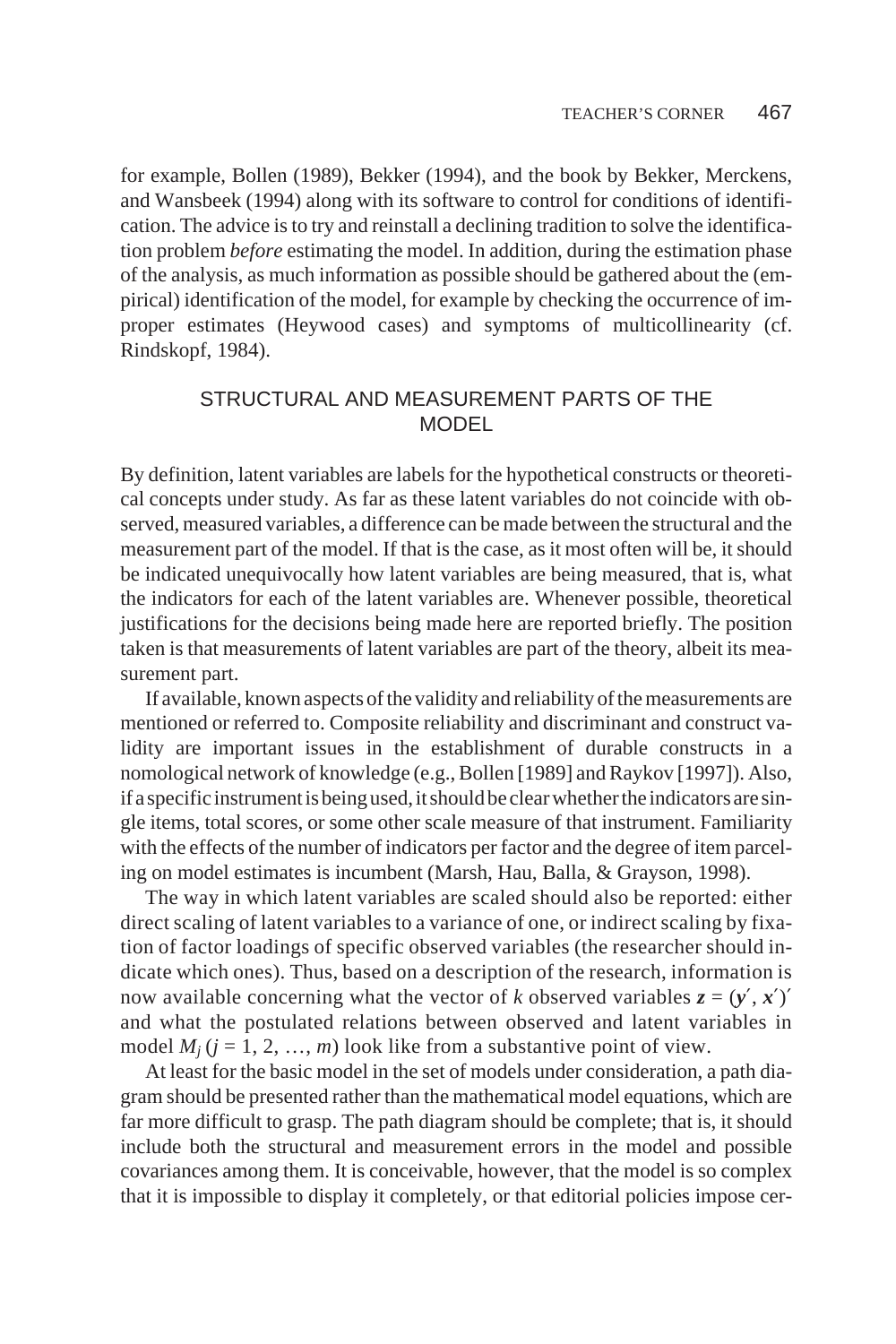for example, Bollen (1989), Bekker (1994), and the book by Bekker, Merckens, and Wansbeek (1994) along with its software to control for conditions of identification. The advice is to try and reinstall a declining tradition to solve the identification problem *before* estimating the model. In addition, during the estimation phase of the analysis, as much information as possible should be gathered about the (empirical) identification of the model, for example by checking the occurrence of improper estimates (Heywood cases) and symptoms of multicollinearity (cf. Rindskopf, 1984).

# STRUCTURAL AND MEASUREMENT PARTS OF THE MODEL

By definition, latent variables are labels for the hypothetical constructs or theoretical concepts under study. As far as these latent variables do not coincide with observed, measured variables, a difference can be made between the structural and the measurement part of the model. If that is the case, as it most often will be, it should be indicated unequivocally how latent variables are being measured, that is, what the indicators for each of the latent variables are. Whenever possible, theoretical justifications for the decisions being made here are reported briefly. The position taken is that measurements of latent variables are part of the theory, albeit its measurement part.

If available, known aspects of the validity and reliability of the measurements are mentioned or referred to. Composite reliability and discriminant and construct validity are important issues in the establishment of durable constructs in a nomological network of knowledge (e.g., Bollen [1989] and Raykov [1997]). Also, if a specific instrument is being used, it should be clear whether the indicators are single items, total scores, or some other scale measure of that instrument. Familiarity with the effects of the number of indicators per factor and the degree of item parceling on model estimates is incumbent (Marsh, Hau, Balla, & Grayson, 1998).

The way in which latent variables are scaled should also be reported: either direct scaling of latent variables to a variance of one, or indirect scaling by fixation of factor loadings of specific observed variables (the researcher should indicate which ones). Thus, based on a description of the research, information is now available concerning what the vector of *k* observed variables  $z = (v', x')'$ and what the postulated relations between observed and latent variables in model  $M_i$  ( $i = 1, 2, ..., m$ ) look like from a substantive point of view.

At least for the basic model in the set of models under consideration, a path diagram should be presented rather than the mathematical model equations, which are far more difficult to grasp. The path diagram should be complete; that is, it should include both the structural and measurement errors in the model and possible covariances among them. It is conceivable, however, that the model is so complex that it is impossible to display it completely, or that editorial policies impose cer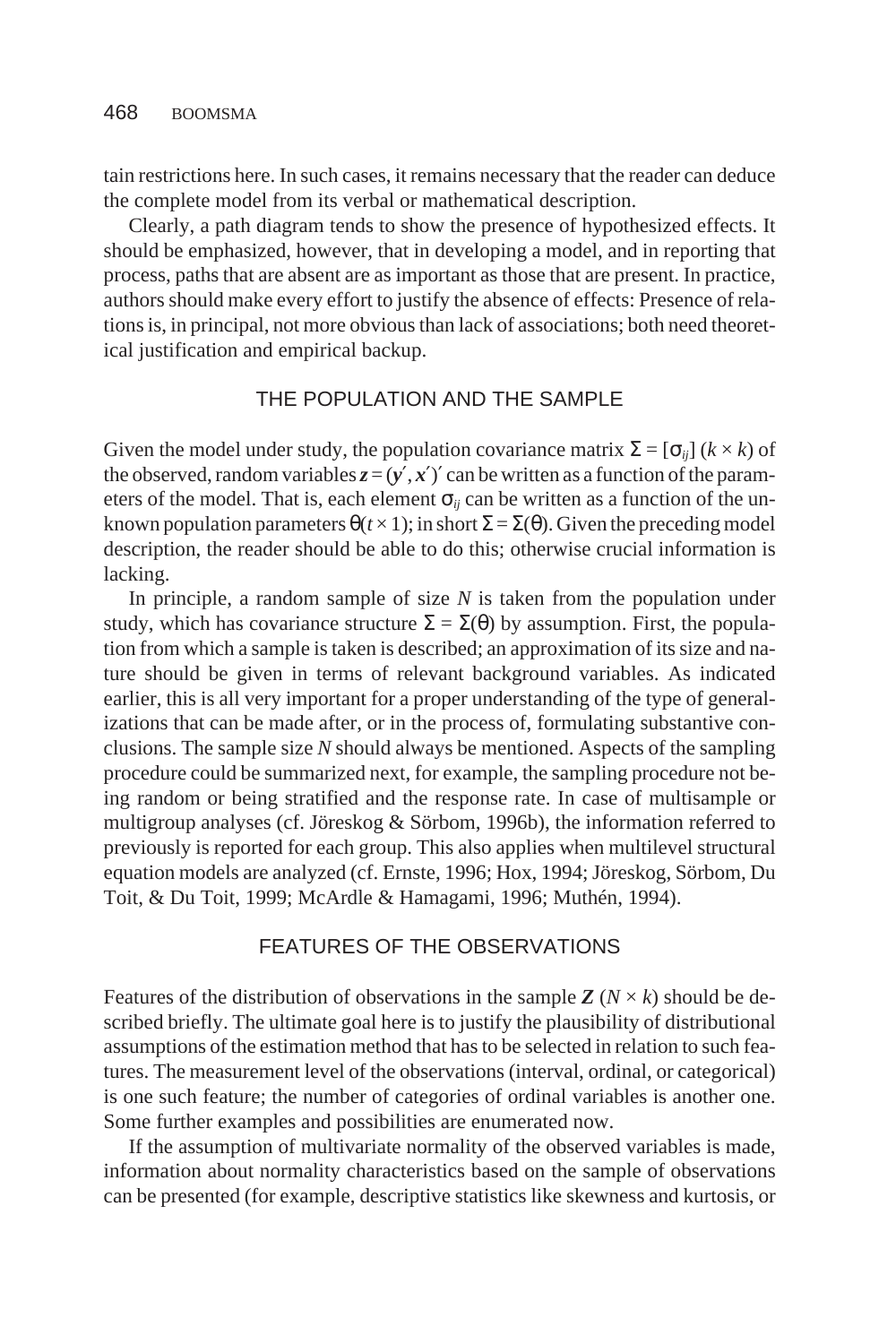tain restrictions here. In such cases, it remains necessary that the reader can deduce the complete model from its verbal or mathematical description.

Clearly, a path diagram tends to show the presence of hypothesized effects. It should be emphasized, however, that in developing a model, and in reporting that process, paths that are absent are as important as those that are present. In practice, authors should make every effort to justify the absence of effects: Presence of relations is, in principal, not more obvious than lack of associations; both need theoretical justification and empirical backup.

### THE POPULATION AND THE SAMPLE

Given the model under study, the population covariance matrix  $\Sigma = [\sigma_{ii}]$  ( $k \times k$ ) of the observed, random variables  $z = (y', x')'$  can be written as a function of the parameters of the model. That is, each element  $\sigma_{ii}$  can be written as a function of the unknown population parameters  $\theta(t \times 1)$ ; in short  $\Sigma = \Sigma(\theta)$ . Given the preceding model description, the reader should be able to do this; otherwise crucial information is lacking.

In principle, a random sample of size *N* is taken from the population under study, which has covariance structure  $\Sigma = \Sigma(\theta)$  by assumption. First, the population from which a sample is taken is described; an approximation of its size and nature should be given in terms of relevant background variables. As indicated earlier, this is all very important for a proper understanding of the type of generalizations that can be made after, or in the process of, formulating substantive conclusions. The sample size *N* should always be mentioned. Aspects of the sampling procedure could be summarized next, for example, the sampling procedure not being random or being stratified and the response rate. In case of multisample or multigroup analyses (cf. Jöreskog & Sörbom, 1996b), the information referred to previously is reported for each group. This also applies when multilevel structural equation models are analyzed (cf. Ernste, 1996; Hox, 1994; Jöreskog, Sörbom, Du Toit, & Du Toit, 1999; McArdle & Hamagami, 1996; Muthén, 1994).

#### FEATURES OF THE OBSERVATIONS

Features of the distribution of observations in the sample  $Z$  ( $N \times k$ ) should be described briefly. The ultimate goal here is to justify the plausibility of distributional assumptions of the estimation method that has to be selected in relation to such features. The measurement level of the observations (interval, ordinal, or categorical) is one such feature; the number of categories of ordinal variables is another one. Some further examples and possibilities are enumerated now.

If the assumption of multivariate normality of the observed variables is made, information about normality characteristics based on the sample of observations can be presented (for example, descriptive statistics like skewness and kurtosis, or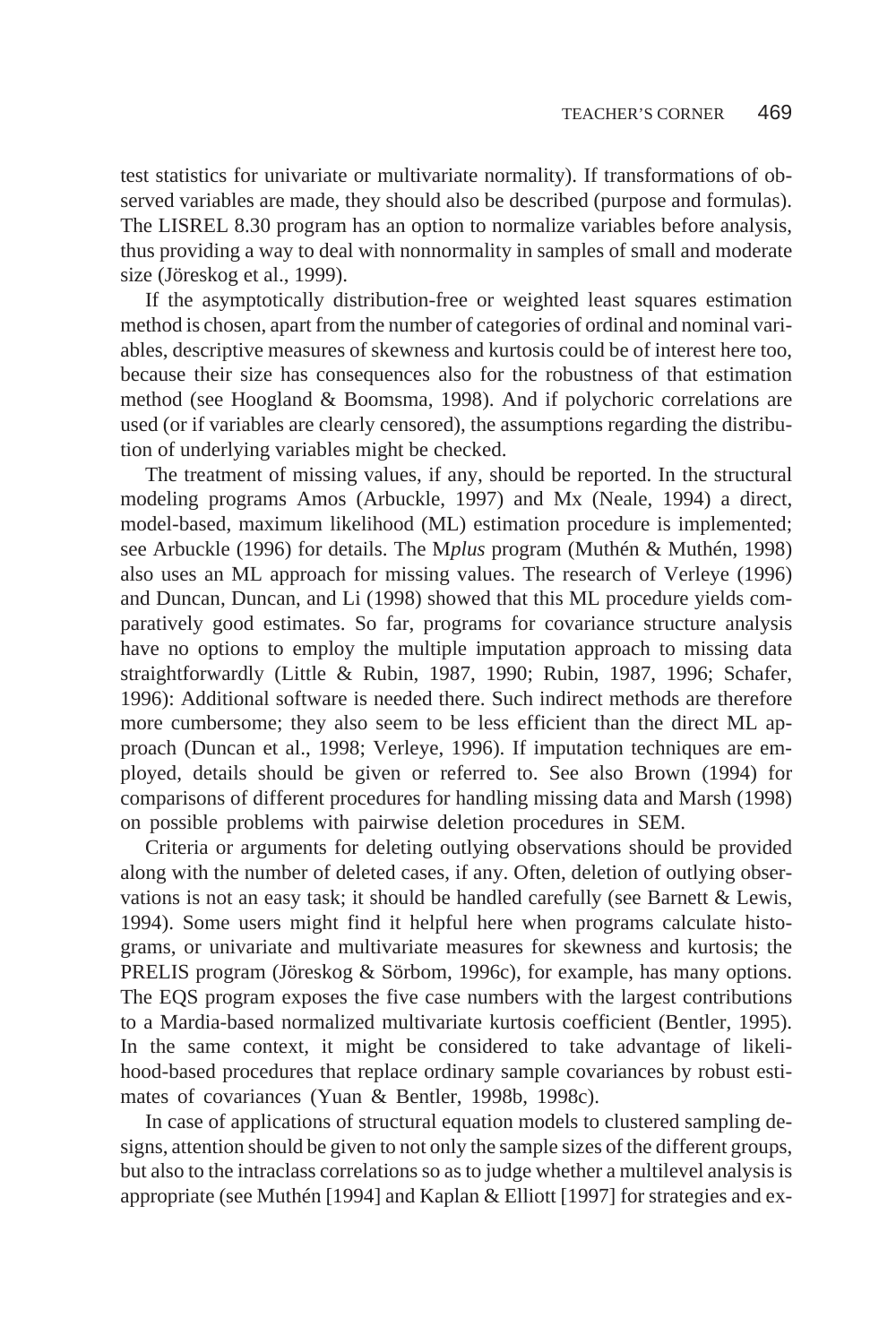test statistics for univariate or multivariate normality). If transformations of observed variables are made, they should also be described (purpose and formulas). The LISREL 8.30 program has an option to normalize variables before analysis, thus providing a way to deal with nonnormality in samples of small and moderate size (Jöreskog et al., 1999).

If the asymptotically distribution-free or weighted least squares estimation method is chosen, apart from the number of categories of ordinal and nominal variables, descriptive measures of skewness and kurtosis could be of interest here too, because their size has consequences also for the robustness of that estimation method (see Hoogland & Boomsma, 1998). And if polychoric correlations are used (or if variables are clearly censored), the assumptions regarding the distribution of underlying variables might be checked.

The treatment of missing values, if any, should be reported. In the structural modeling programs Amos (Arbuckle, 1997) and Mx (Neale, 1994) a direct, model-based, maximum likelihood (ML) estimation procedure is implemented; see Arbuckle (1996) for details. The M*plus* program (Muthén & Muthén, 1998) also uses an ML approach for missing values. The research of Verleye (1996) and Duncan, Duncan, and Li (1998) showed that this ML procedure yields comparatively good estimates. So far, programs for covariance structure analysis have no options to employ the multiple imputation approach to missing data straightforwardly (Little & Rubin, 1987, 1990; Rubin, 1987, 1996; Schafer, 1996): Additional software is needed there. Such indirect methods are therefore more cumbersome; they also seem to be less efficient than the direct ML approach (Duncan et al., 1998; Verleye, 1996). If imputation techniques are employed, details should be given or referred to. See also Brown (1994) for comparisons of different procedures for handling missing data and Marsh (1998) on possible problems with pairwise deletion procedures in SEM.

Criteria or arguments for deleting outlying observations should be provided along with the number of deleted cases, if any. Often, deletion of outlying observations is not an easy task; it should be handled carefully (see Barnett & Lewis, 1994). Some users might find it helpful here when programs calculate histograms, or univariate and multivariate measures for skewness and kurtosis; the PRELIS program (Jöreskog & Sörbom, 1996c), for example, has many options. The EQS program exposes the five case numbers with the largest contributions to a Mardia-based normalized multivariate kurtosis coefficient (Bentler, 1995). In the same context, it might be considered to take advantage of likelihood-based procedures that replace ordinary sample covariances by robust estimates of covariances (Yuan & Bentler, 1998b, 1998c).

In case of applications of structural equation models to clustered sampling designs, attention should be given to not only the sample sizes of the different groups, but also to the intraclass correlations so as to judge whether a multilevel analysis is appropriate (see Muthén [1994] and Kaplan & Elliott [1997] for strategies and ex-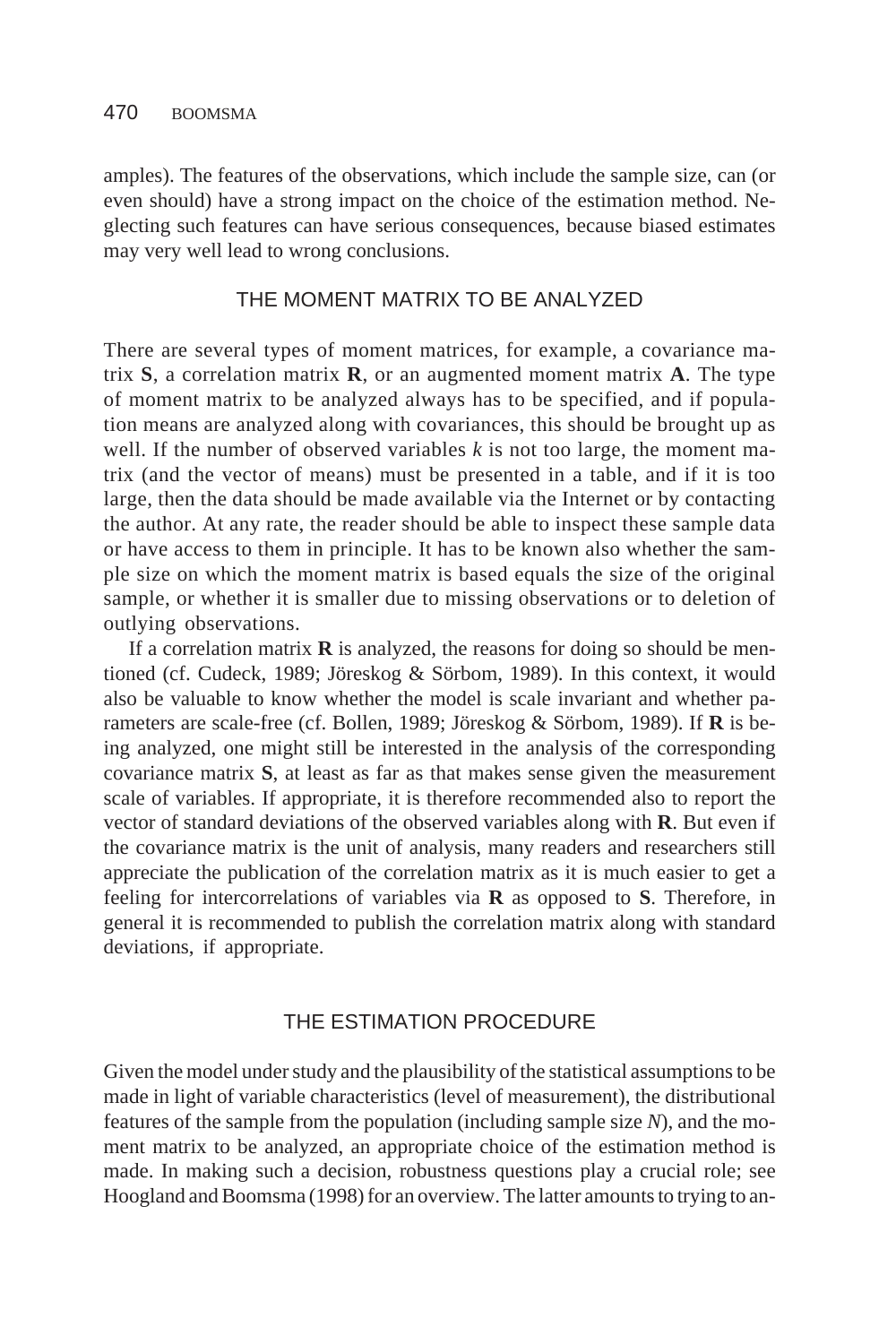amples). The features of the observations, which include the sample size, can (or even should) have a strong impact on the choice of the estimation method. Neglecting such features can have serious consequences, because biased estimates may very well lead to wrong conclusions.

#### THE MOMENT MATRIX TO BE ANALYZED

There are several types of moment matrices, for example, a covariance matrix **S**, a correlation matrix **R**, or an augmented moment matrix **A**. The type of moment matrix to be analyzed always has to be specified, and if population means are analyzed along with covariances, this should be brought up as well. If the number of observed variables *k* is not too large, the moment matrix (and the vector of means) must be presented in a table, and if it is too large, then the data should be made available via the Internet or by contacting the author. At any rate, the reader should be able to inspect these sample data or have access to them in principle. It has to be known also whether the sample size on which the moment matrix is based equals the size of the original sample, or whether it is smaller due to missing observations or to deletion of outlying observations.

If a correlation matrix  $\bf{R}$  is analyzed, the reasons for doing so should be mentioned (cf. Cudeck, 1989; Jöreskog & Sörbom, 1989). In this context, it would also be valuable to know whether the model is scale invariant and whether parameters are scale-free (cf. Bollen, 1989; Jöreskog & Sörbom, 1989). If **R** is being analyzed, one might still be interested in the analysis of the corresponding covariance matrix **S**, at least as far as that makes sense given the measurement scale of variables. If appropriate, it is therefore recommended also to report the vector of standard deviations of the observed variables along with **R**. But even if the covariance matrix is the unit of analysis, many readers and researchers still appreciate the publication of the correlation matrix as it is much easier to get a feeling for intercorrelations of variables via **R** as opposed to **S**. Therefore, in general it is recommended to publish the correlation matrix along with standard deviations, if appropriate.

#### THE ESTIMATION PROCEDURE

Given the model under study and the plausibility of the statistical assumptions to be made in light of variable characteristics (level of measurement), the distributional features of the sample from the population (including sample size *N*), and the moment matrix to be analyzed, an appropriate choice of the estimation method is made. In making such a decision, robustness questions play a crucial role; see Hoogland and Boomsma (1998) for an overview. The latter amounts to trying to an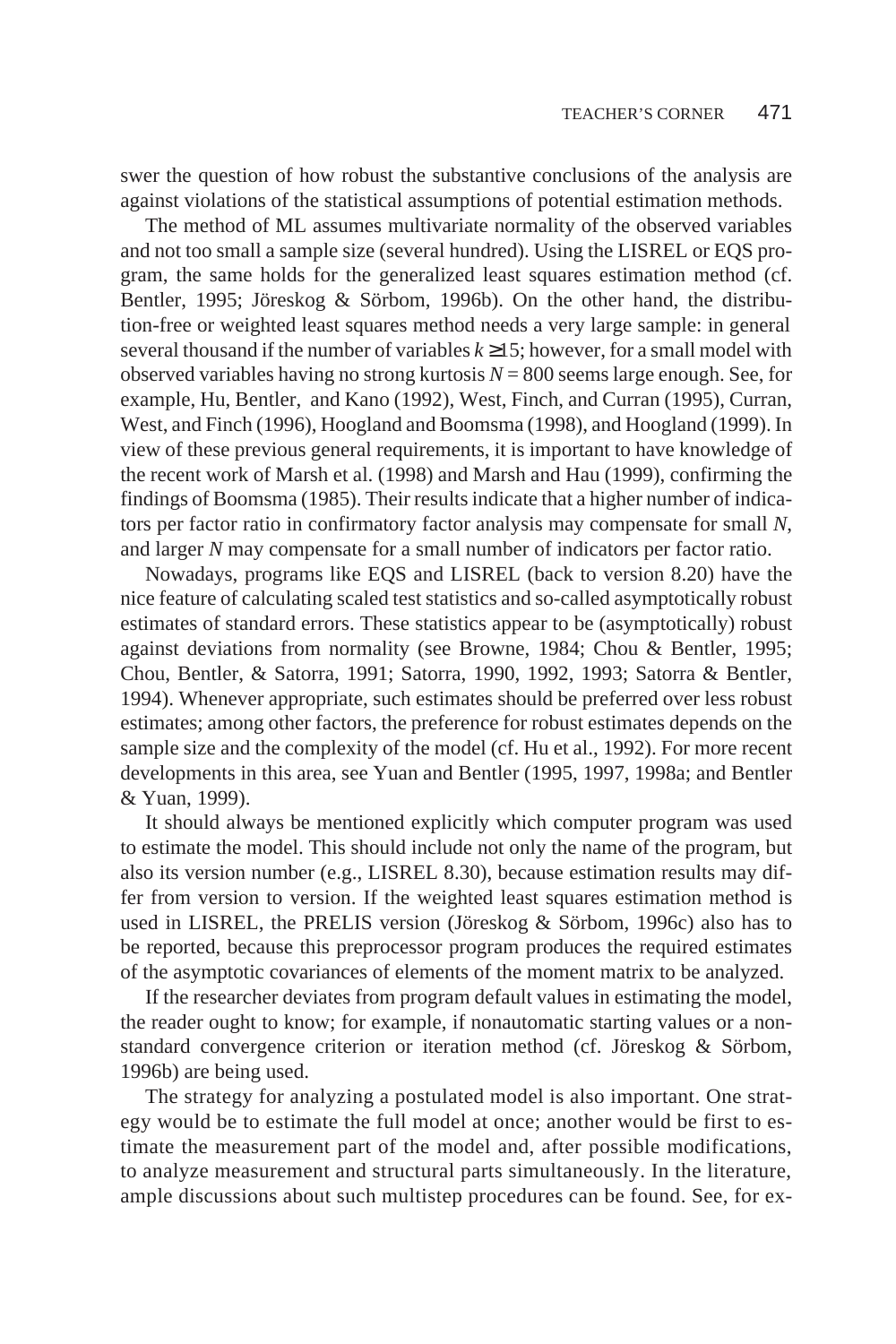swer the question of how robust the substantive conclusions of the analysis are against violations of the statistical assumptions of potential estimation methods.

The method of ML assumes multivariate normality of the observed variables and not too small a sample size (several hundred). Using the LISREL or EQS program, the same holds for the generalized least squares estimation method (cf. Bentler, 1995; Jöreskog & Sörbom, 1996b). On the other hand, the distribution-free or weighted least squares method needs a very large sample: in general several thousand if the number of variables *k* ≥15; however, for a small model with observed variables having no strong kurtosis *N* = 800 seems large enough. See, for example, Hu, Bentler, and Kano (1992), West, Finch, and Curran (1995), Curran, West, and Finch (1996), Hoogland and Boomsma (1998), and Hoogland (1999). In view of these previous general requirements, it is important to have knowledge of the recent work of Marsh et al. (1998) and Marsh and Hau (1999), confirming the findings of Boomsma (1985). Their results indicate that a higher number of indicators per factor ratio in confirmatory factor analysis may compensate for small *N*, and larger *N* may compensate for a small number of indicators per factor ratio.

Nowadays, programs like EQS and LISREL (back to version 8.20) have the nice feature of calculating scaled test statistics and so-called asymptotically robust estimates of standard errors. These statistics appear to be (asymptotically) robust against deviations from normality (see Browne, 1984; Chou & Bentler, 1995; Chou, Bentler, & Satorra, 1991; Satorra, 1990, 1992, 1993; Satorra & Bentler, 1994). Whenever appropriate, such estimates should be preferred over less robust estimates; among other factors, the preference for robust estimates depends on the sample size and the complexity of the model (cf. Hu et al., 1992). For more recent developments in this area, see Yuan and Bentler (1995, 1997, 1998a; and Bentler & Yuan, 1999).

It should always be mentioned explicitly which computer program was used to estimate the model. This should include not only the name of the program, but also its version number (e.g., LISREL 8.30), because estimation results may differ from version to version. If the weighted least squares estimation method is used in LISREL, the PRELIS version (Jöreskog & Sörbom, 1996c) also has to be reported, because this preprocessor program produces the required estimates of the asymptotic covariances of elements of the moment matrix to be analyzed.

If the researcher deviates from program default values in estimating the model, the reader ought to know; for example, if nonautomatic starting values or a nonstandard convergence criterion or iteration method (cf. Jöreskog & Sörbom, 1996b) are being used.

The strategy for analyzing a postulated model is also important. One strategy would be to estimate the full model at once; another would be first to estimate the measurement part of the model and, after possible modifications, to analyze measurement and structural parts simultaneously. In the literature, ample discussions about such multistep procedures can be found. See, for ex-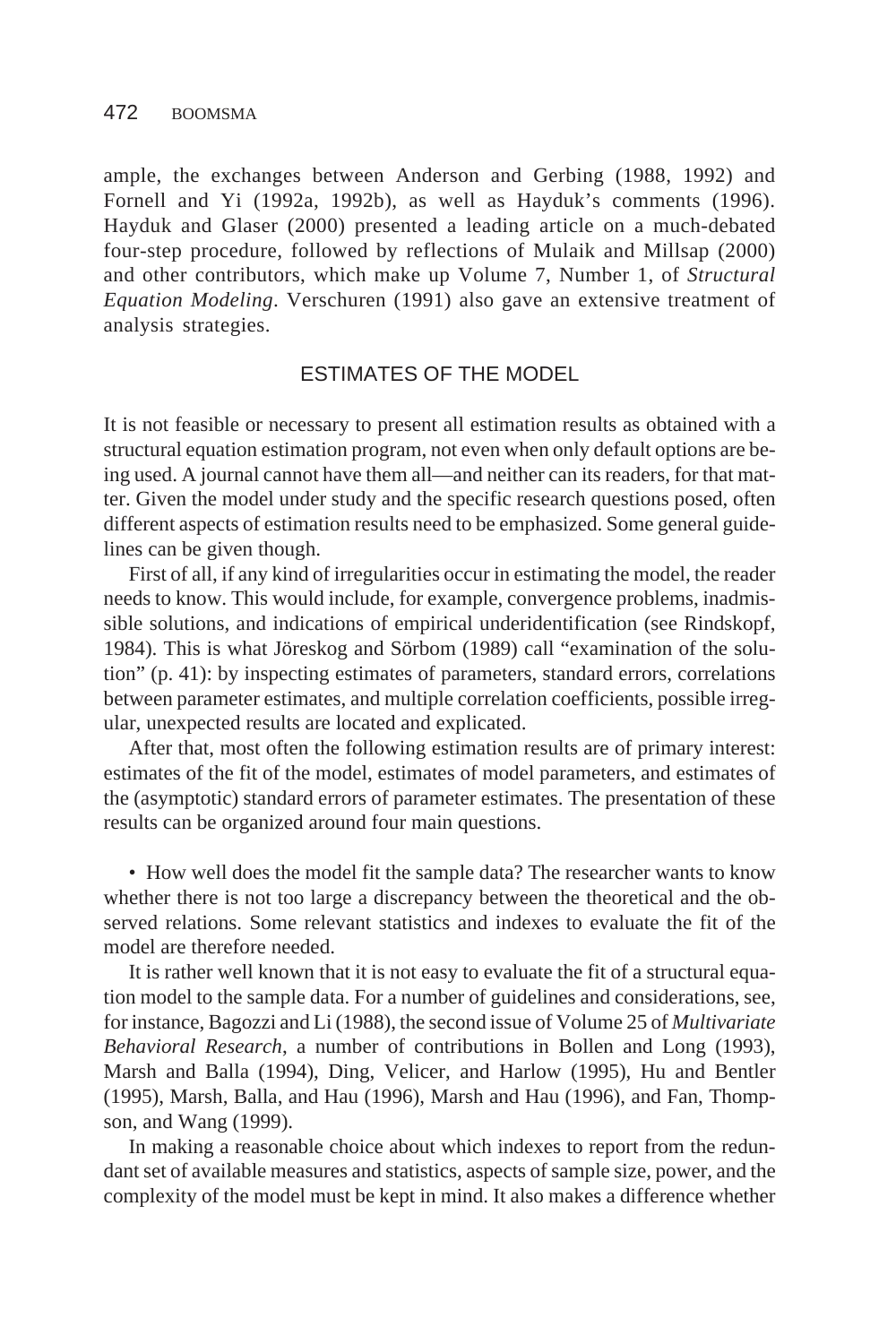ample, the exchanges between Anderson and Gerbing (1988, 1992) and Fornell and Yi (1992a, 1992b), as well as Hayduk's comments (1996). Hayduk and Glaser (2000) presented a leading article on a much-debated four-step procedure, followed by reflections of Mulaik and Millsap (2000) and other contributors, which make up Volume 7, Number 1, of *Structural Equation Modeling*. Verschuren (1991) also gave an extensive treatment of analysis strategies.

#### ESTIMATES OF THE MODEL

It is not feasible or necessary to present all estimation results as obtained with a structural equation estimation program, not even when only default options are being used. A journal cannot have them all—and neither can its readers, for that matter. Given the model under study and the specific research questions posed, often different aspects of estimation results need to be emphasized. Some general guidelines can be given though.

First of all, if any kind of irregularities occur in estimating the model, the reader needs to know. This would include, for example, convergence problems, inadmissible solutions, and indications of empirical underidentification (see Rindskopf, 1984). This is what Jöreskog and Sörbom (1989) call "examination of the solution" (p. 41): by inspecting estimates of parameters, standard errors, correlations between parameter estimates, and multiple correlation coefficients, possible irregular, unexpected results are located and explicated.

After that, most often the following estimation results are of primary interest: estimates of the fit of the model, estimates of model parameters, and estimates of the (asymptotic) standard errors of parameter estimates. The presentation of these results can be organized around four main questions.

• How well does the model fit the sample data? The researcher wants to know whether there is not too large a discrepancy between the theoretical and the observed relations. Some relevant statistics and indexes to evaluate the fit of the model are therefore needed.

It is rather well known that it is not easy to evaluate the fit of a structural equation model to the sample data. For a number of guidelines and considerations, see, for instance, Bagozzi and Li (1988), the second issue of Volume 25 of *Multivariate Behavioral Research*, a number of contributions in Bollen and Long (1993), Marsh and Balla (1994), Ding, Velicer, and Harlow (1995), Hu and Bentler (1995), Marsh, Balla, and Hau (1996), Marsh and Hau (1996), and Fan, Thompson, and Wang (1999).

In making a reasonable choice about which indexes to report from the redundant set of available measures and statistics, aspects of sample size, power, and the complexity of the model must be kept in mind. It also makes a difference whether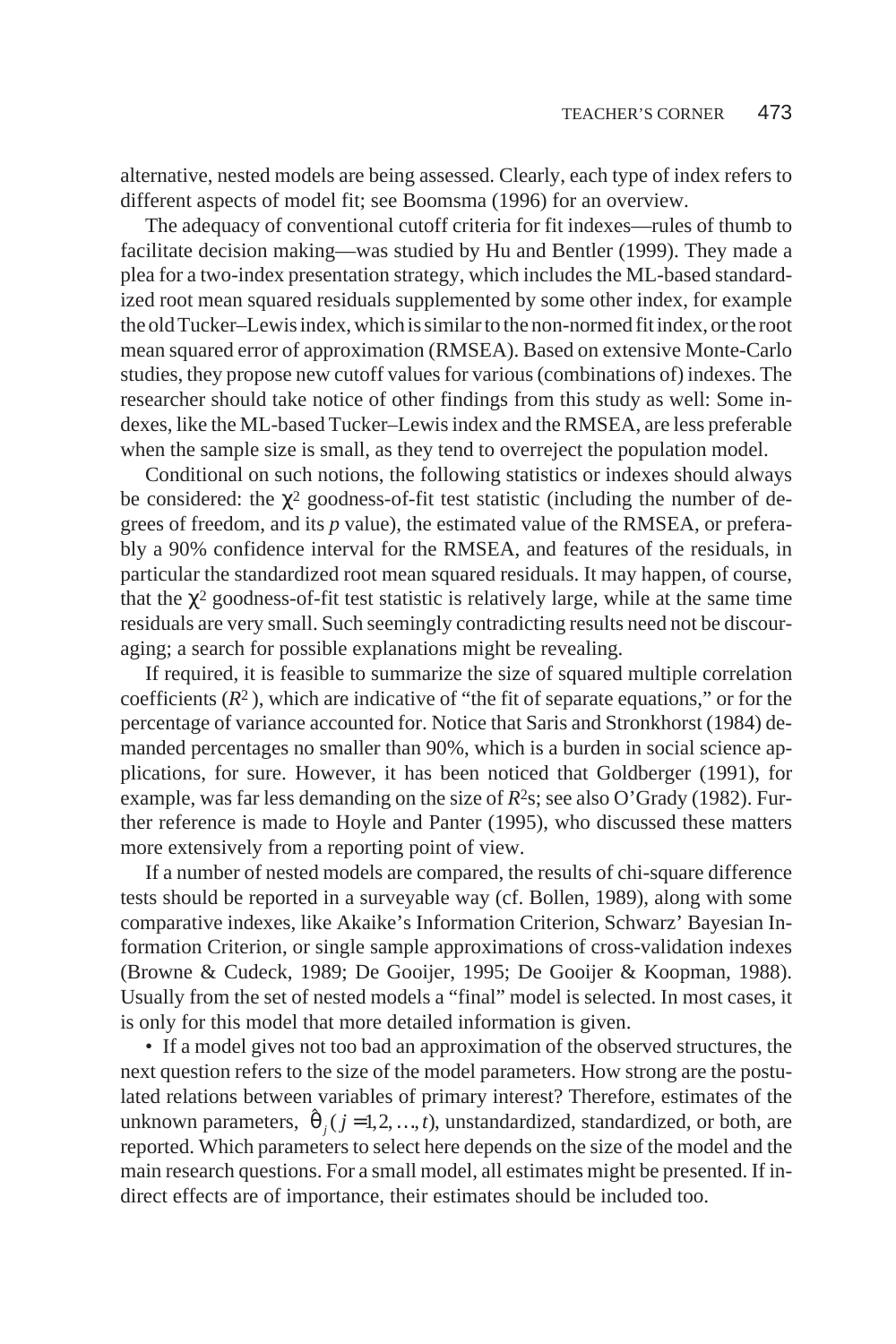alternative, nested models are being assessed. Clearly, each type of index refers to different aspects of model fit; see Boomsma (1996) for an overview.

The adequacy of conventional cutoff criteria for fit indexes—rules of thumb to facilitate decision making—was studied by Hu and Bentler (1999). They made a plea for a two-index presentation strategy, which includes the ML-based standardized root mean squared residuals supplemented by some other index, for example the old Tucker–Lewis index, which is similar to the non-normed fit index, or the root mean squared error of approximation (RMSEA). Based on extensive Monte-Carlo studies, they propose new cutoff values for various (combinations of) indexes. The researcher should take notice of other findings from this study as well: Some indexes, like the ML-based Tucker–Lewis index and the RMSEA, are less preferable when the sample size is small, as they tend to overreject the population model.

Conditional on such notions, the following statistics or indexes should always be considered: the  $\gamma^2$  goodness-of-fit test statistic (including the number of degrees of freedom, and its *p* value), the estimated value of the RMSEA, or preferably a 90% confidence interval for the RMSEA, and features of the residuals, in particular the standardized root mean squared residuals. It may happen, of course, that the  $\chi^2$  goodness-of-fit test statistic is relatively large, while at the same time residuals are very small. Such seemingly contradicting results need not be discouraging; a search for possible explanations might be revealing.

If required, it is feasible to summarize the size of squared multiple correlation coefficients  $(R^2)$ , which are indicative of "the fit of separate equations," or for the percentage of variance accounted for. Notice that Saris and Stronkhorst (1984) demanded percentages no smaller than 90%, which is a burden in social science applications, for sure. However, it has been noticed that Goldberger (1991), for example, was far less demanding on the size of  $R^2$ s; see also O'Grady (1982). Further reference is made to Hoyle and Panter (1995), who discussed these matters more extensively from a reporting point of view.

If a number of nested models are compared, the results of chi-square difference tests should be reported in a surveyable way (cf. Bollen, 1989), along with some comparative indexes, like Akaike's Information Criterion, Schwarz' Bayesian Information Criterion, or single sample approximations of cross-validation indexes (Browne & Cudeck, 1989; De Gooijer, 1995; De Gooijer & Koopman, 1988). Usually from the set of nested models a "final" model is selected. In most cases, it is only for this model that more detailed information is given.

• If a model gives not too bad an approximation of the observed structures, the next question refers to the size of the model parameters. How strong are the postulated relations between variables of primary interest? Therefore, estimates of the unknown parameters,  $\hat{\theta}_j$  ( $j = 1, 2, ..., t$ ), unstandardized, standardized, or both, are reported. Which parameters to select here depends on the size of the model and the main research questions. For a small model, all estimates might be presented. If indirect effects are of importance, their estimates should be included too.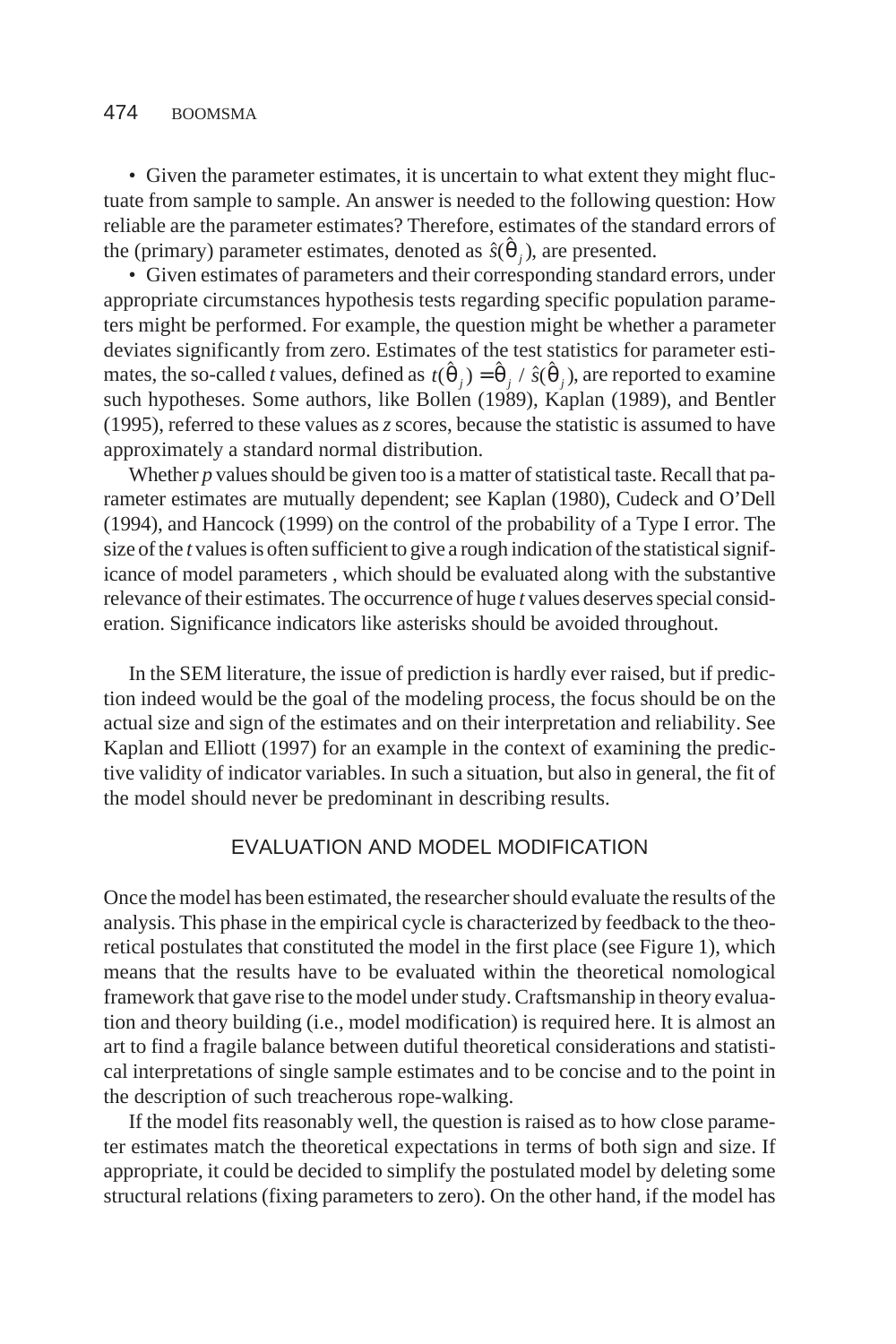• Given the parameter estimates, it is uncertain to what extent they might fluctuate from sample to sample. An answer is needed to the following question: How reliable are the parameter estimates? Therefore, estimates of the standard errors of the (primary) parameter estimates, denoted as  $\hat{s}(\hat{\theta}_i)$ , are presented.

• Given estimates of parameters and their corresponding standard errors, under appropriate circumstances hypothesis tests regarding specific population parameters might be performed. For example, the question might be whether a parameter deviates significantly from zero. Estimates of the test statistics for parameter estimates, the so-called *t* values, defined as  $t(\hat{\theta}_i) = \hat{\theta}_i / \hat{s}(\hat{\theta}_i)$ , are reported to examine such hypotheses. Some authors, like Bollen (1989), Kaplan (1989), and Bentler (1995), referred to these values as *z* scores, because the statistic is assumed to have approximately a standard normal distribution.

Whether *p* values should be given too is a matter of statistical taste. Recall that parameter estimates are mutually dependent; see Kaplan (1980), Cudeck and O'Dell (1994), and Hancock (1999) on the control of the probability of a Type I error. The size of the *t* values is often sufficient to give a rough indication of the statistical significance of model parameters , which should be evaluated along with the substantive relevance of their estimates. The occurrence of huge *t* values deserves special consideration. Significance indicators like asterisks should be avoided throughout.

In the SEM literature, the issue of prediction is hardly ever raised, but if prediction indeed would be the goal of the modeling process, the focus should be on the actual size and sign of the estimates and on their interpretation and reliability. See Kaplan and Elliott (1997) for an example in the context of examining the predictive validity of indicator variables. In such a situation, but also in general, the fit of the model should never be predominant in describing results.

#### EVALUATION AND MODEL MODIFICATION

Once the model has been estimated, the researcher should evaluate the results of the analysis. This phase in the empirical cycle is characterized by feedback to the theoretical postulates that constituted the model in the first place (see Figure 1), which means that the results have to be evaluated within the theoretical nomological framework that gave rise to the model under study. Craftsmanship in theory evaluation and theory building (i.e., model modification) is required here. It is almost an art to find a fragile balance between dutiful theoretical considerations and statistical interpretations of single sample estimates and to be concise and to the point in the description of such treacherous rope-walking.

If the model fits reasonably well, the question is raised as to how close parameter estimates match the theoretical expectations in terms of both sign and size. If appropriate, it could be decided to simplify the postulated model by deleting some structural relations (fixing parameters to zero). On the other hand, if the model has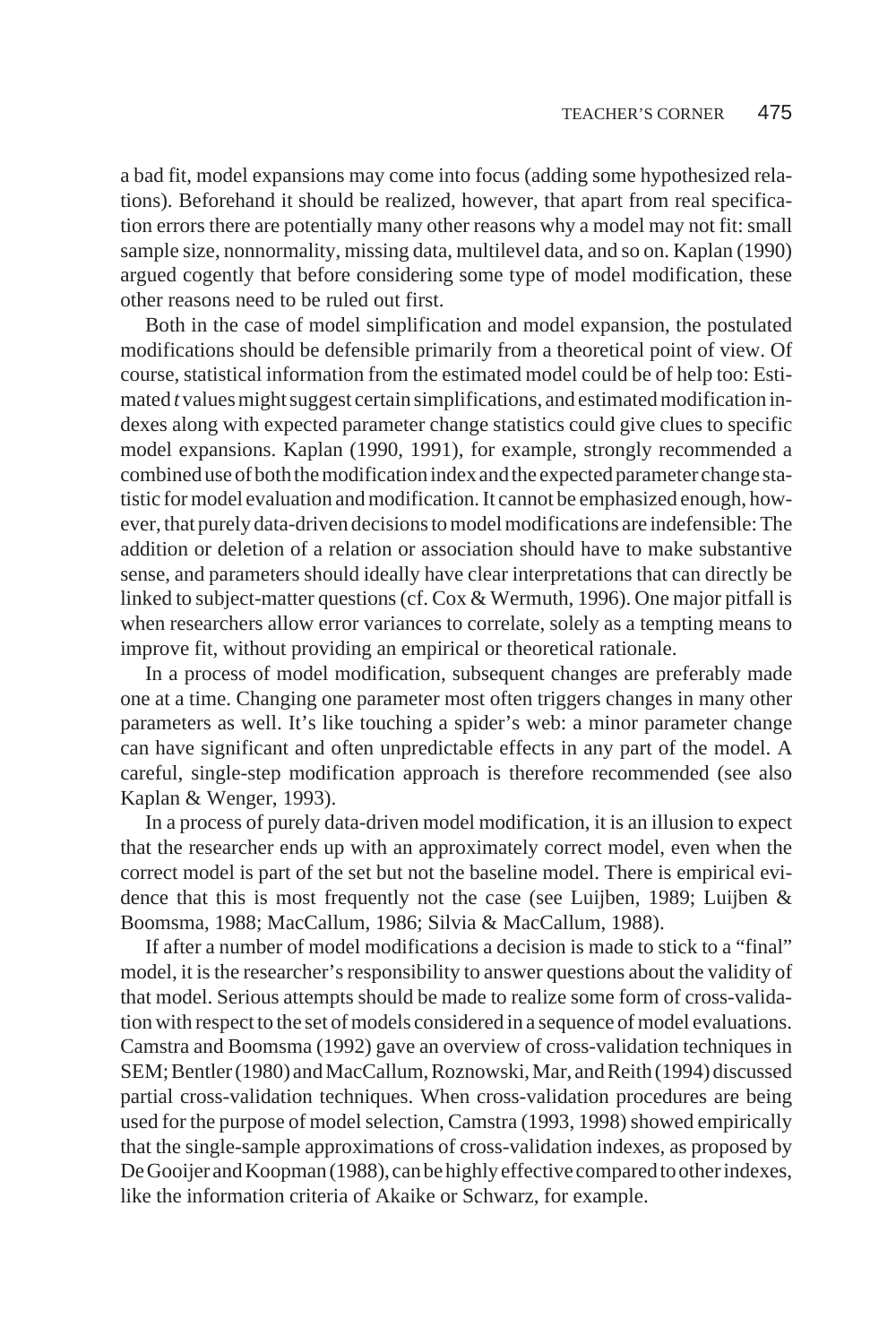a bad fit, model expansions may come into focus (adding some hypothesized relations). Beforehand it should be realized, however, that apart from real specification errors there are potentially many other reasons why a model may not fit: small sample size, nonnormality, missing data, multilevel data, and so on. Kaplan (1990) argued cogently that before considering some type of model modification, these other reasons need to be ruled out first.

Both in the case of model simplification and model expansion, the postulated modifications should be defensible primarily from a theoretical point of view. Of course, statistical information from the estimated model could be of help too: Estimated *t* values might suggest certain simplifications, and estimated modification indexes along with expected parameter change statistics could give clues to specific model expansions. Kaplan (1990, 1991), for example, strongly recommended a combined use of both the modification index and the expected parameter change statistic for model evaluation and modification. It cannot be emphasized enough, however, that purely data-driven decisions to model modifications are indefensible: The addition or deletion of a relation or association should have to make substantive sense, and parameters should ideally have clear interpretations that can directly be linked to subject-matter questions (cf. Cox & Wermuth, 1996). One major pitfall is when researchers allow error variances to correlate, solely as a tempting means to improve fit, without providing an empirical or theoretical rationale.

In a process of model modification, subsequent changes are preferably made one at a time. Changing one parameter most often triggers changes in many other parameters as well. It's like touching a spider's web: a minor parameter change can have significant and often unpredictable effects in any part of the model. A careful, single-step modification approach is therefore recommended (see also Kaplan & Wenger, 1993).

In a process of purely data-driven model modification, it is an illusion to expect that the researcher ends up with an approximately correct model, even when the correct model is part of the set but not the baseline model. There is empirical evidence that this is most frequently not the case (see Luijben, 1989; Luijben & Boomsma, 1988; MacCallum, 1986; Silvia & MacCallum, 1988).

If after a number of model modifications a decision is made to stick to a "final" model, it is the researcher's responsibility to answer questions about the validity of that model. Serious attempts should be made to realize some form of cross-validation with respect to the set of models considered in a sequence of model evaluations. Camstra and Boomsma (1992) gave an overview of cross-validation techniques in SEM; Bentler (1980) and MacCallum, Roznowski, Mar, and Reith (1994) discussed partial cross-validation techniques. When cross-validation procedures are being used for the purpose of model selection, Camstra (1993, 1998) showed empirically that the single-sample approximations of cross-validation indexes, as proposed by De Gooijer and Koopman (1988), can be highly effective compared to other indexes, like the information criteria of Akaike or Schwarz, for example.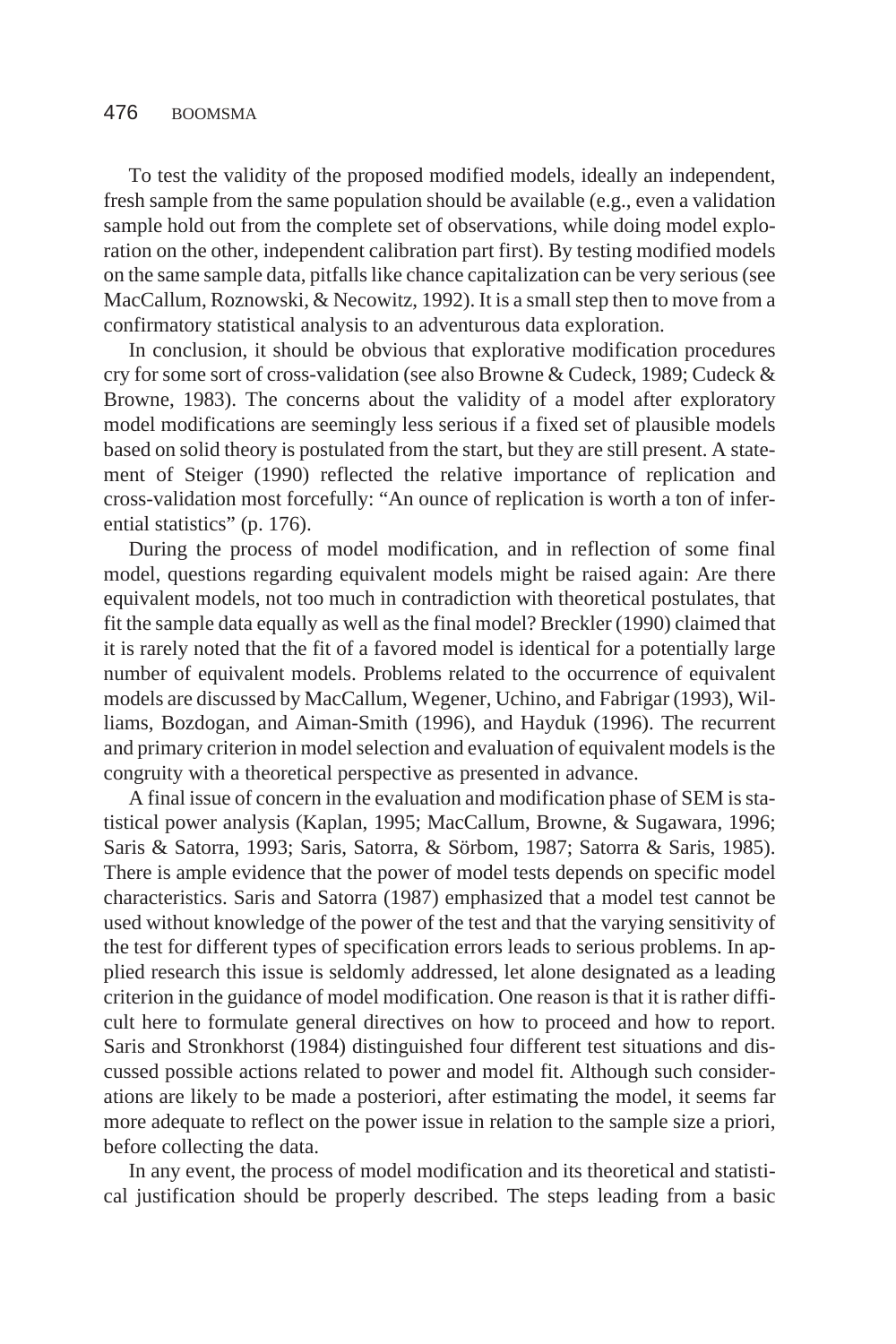To test the validity of the proposed modified models, ideally an independent, fresh sample from the same population should be available (e.g., even a validation sample hold out from the complete set of observations, while doing model exploration on the other, independent calibration part first). By testing modified models on the same sample data, pitfalls like chance capitalization can be very serious (see MacCallum, Roznowski, & Necowitz, 1992). It is a small step then to move from a confirmatory statistical analysis to an adventurous data exploration.

In conclusion, it should be obvious that explorative modification procedures cry for some sort of cross-validation (see also Browne & Cudeck, 1989; Cudeck & Browne, 1983). The concerns about the validity of a model after exploratory model modifications are seemingly less serious if a fixed set of plausible models based on solid theory is postulated from the start, but they are still present. A statement of Steiger (1990) reflected the relative importance of replication and cross-validation most forcefully: "An ounce of replication is worth a ton of inferential statistics" (p. 176).

During the process of model modification, and in reflection of some final model, questions regarding equivalent models might be raised again: Are there equivalent models, not too much in contradiction with theoretical postulates, that fit the sample data equally as well as the final model? Breckler (1990) claimed that it is rarely noted that the fit of a favored model is identical for a potentially large number of equivalent models. Problems related to the occurrence of equivalent models are discussed by MacCallum, Wegener, Uchino, and Fabrigar (1993), Williams, Bozdogan, and Aiman-Smith (1996), and Hayduk (1996). The recurrent and primary criterion in model selection and evaluation of equivalent models is the congruity with a theoretical perspective as presented in advance.

A final issue of concern in the evaluation and modification phase of SEM is statistical power analysis (Kaplan, 1995; MacCallum, Browne, & Sugawara, 1996; Saris & Satorra, 1993; Saris, Satorra, & Sörbom, 1987; Satorra & Saris, 1985). There is ample evidence that the power of model tests depends on specific model characteristics. Saris and Satorra (1987) emphasized that a model test cannot be used without knowledge of the power of the test and that the varying sensitivity of the test for different types of specification errors leads to serious problems. In applied research this issue is seldomly addressed, let alone designated as a leading criterion in the guidance of model modification. One reason is that it is rather difficult here to formulate general directives on how to proceed and how to report. Saris and Stronkhorst (1984) distinguished four different test situations and discussed possible actions related to power and model fit. Although such considerations are likely to be made a posteriori, after estimating the model, it seems far more adequate to reflect on the power issue in relation to the sample size a priori, before collecting the data.

In any event, the process of model modification and its theoretical and statistical justification should be properly described. The steps leading from a basic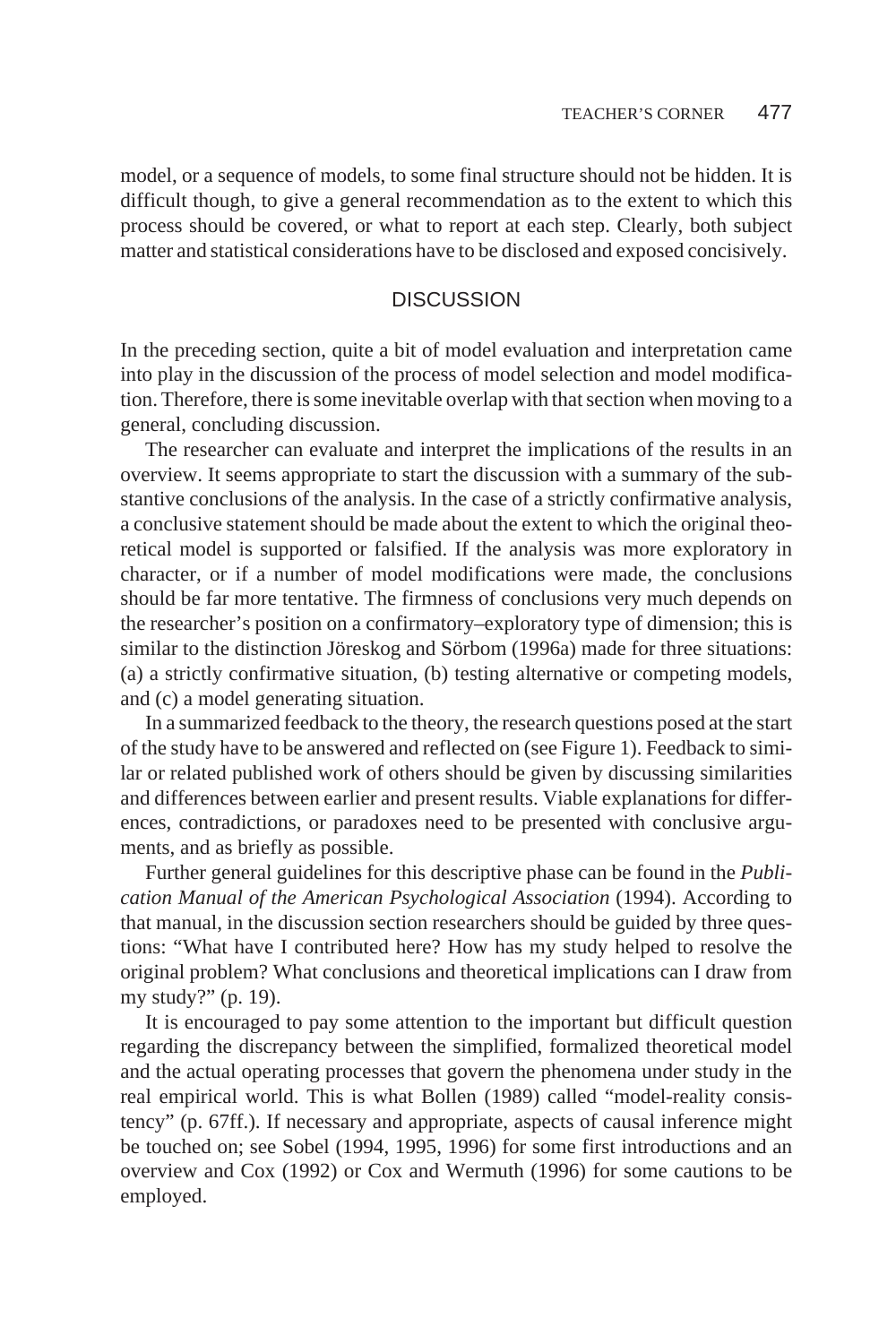model, or a sequence of models, to some final structure should not be hidden. It is difficult though, to give a general recommendation as to the extent to which this process should be covered, or what to report at each step. Clearly, both subject matter and statistical considerations have to be disclosed and exposed concisively.

# **DISCUSSION**

In the preceding section, quite a bit of model evaluation and interpretation came into play in the discussion of the process of model selection and model modification. Therefore, there is some inevitable overlap with that section when moving to a general, concluding discussion.

The researcher can evaluate and interpret the implications of the results in an overview. It seems appropriate to start the discussion with a summary of the substantive conclusions of the analysis. In the case of a strictly confirmative analysis, a conclusive statement should be made about the extent to which the original theoretical model is supported or falsified. If the analysis was more exploratory in character, or if a number of model modifications were made, the conclusions should be far more tentative. The firmness of conclusions very much depends on the researcher's position on a confirmatory–exploratory type of dimension; this is similar to the distinction Jöreskog and Sörbom (1996a) made for three situations: (a) a strictly confirmative situation, (b) testing alternative or competing models, and (c) a model generating situation.

In a summarized feedback to the theory, the research questions posed at the start of the study have to be answered and reflected on (see Figure 1). Feedback to similar or related published work of others should be given by discussing similarities and differences between earlier and present results. Viable explanations for differences, contradictions, or paradoxes need to be presented with conclusive arguments, and as briefly as possible.

Further general guidelines for this descriptive phase can be found in the *Publication Manual of the American Psychological Association* (1994). According to that manual, in the discussion section researchers should be guided by three questions: "What have I contributed here? How has my study helped to resolve the original problem? What conclusions and theoretical implications can I draw from my study?" (p. 19).

It is encouraged to pay some attention to the important but difficult question regarding the discrepancy between the simplified, formalized theoretical model and the actual operating processes that govern the phenomena under study in the real empirical world. This is what Bollen (1989) called "model-reality consistency" (p. 67ff.). If necessary and appropriate, aspects of causal inference might be touched on; see Sobel (1994, 1995, 1996) for some first introductions and an overview and Cox (1992) or Cox and Wermuth (1996) for some cautions to be employed.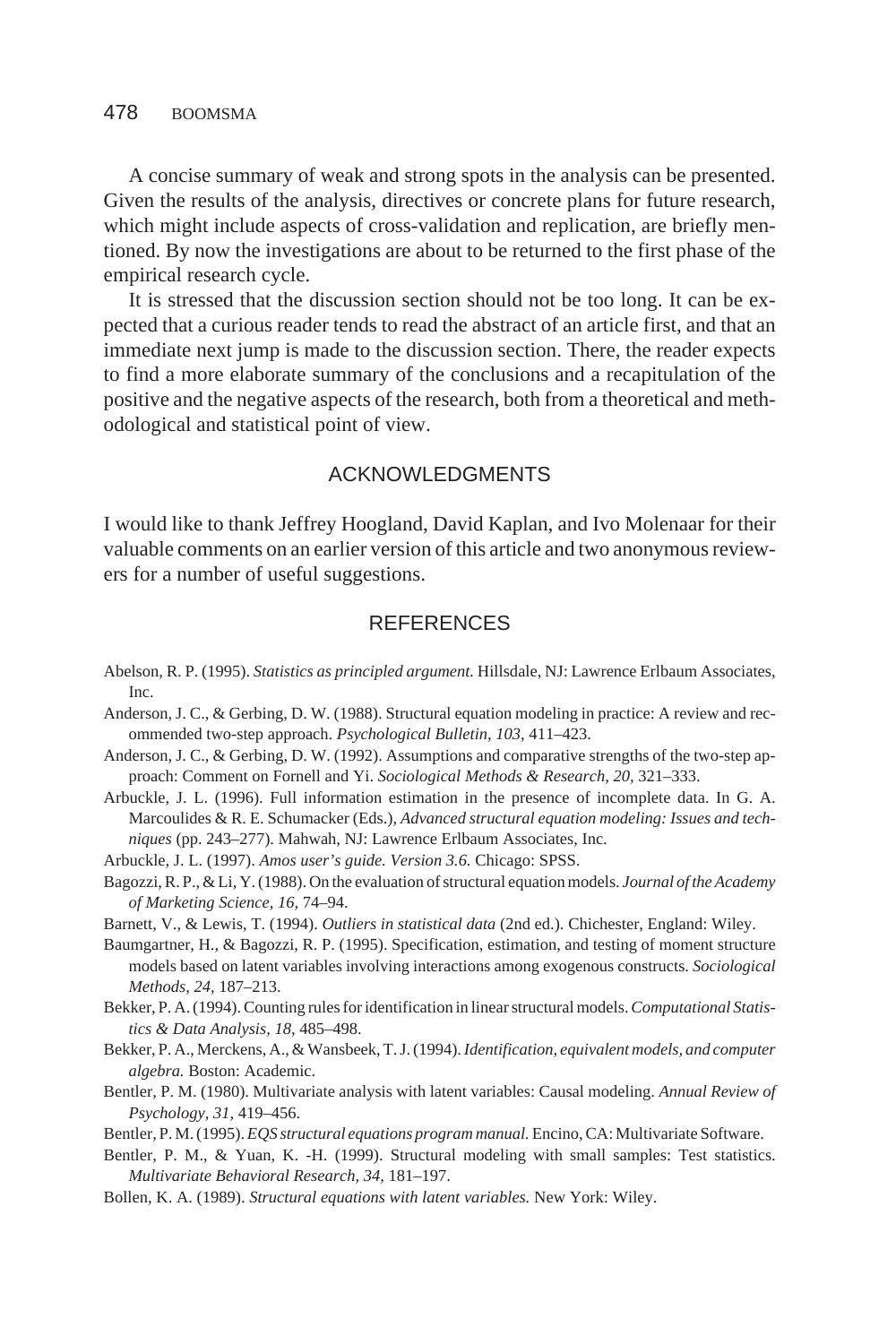A concise summary of weak and strong spots in the analysis can be presented. Given the results of the analysis, directives or concrete plans for future research, which might include aspects of cross-validation and replication, are briefly mentioned. By now the investigations are about to be returned to the first phase of the empirical research cycle.

It is stressed that the discussion section should not be too long. It can be expected that a curious reader tends to read the abstract of an article first, and that an immediate next jump is made to the discussion section. There, the reader expects to find a more elaborate summary of the conclusions and a recapitulation of the positive and the negative aspects of the research, both from a theoretical and methodological and statistical point of view.

# ACKNOWLEDGMENTS

I would like to thank Jeffrey Hoogland, David Kaplan, and Ivo Molenaar for their valuable comments on an earlier version of this article and two anonymous reviewers for a number of useful suggestions.

# **REFERENCES**

- Abelson, R. P. (1995). *Statistics as principled argument.* Hillsdale, NJ: Lawrence Erlbaum Associates, Inc.
- Anderson, J. C., & Gerbing, D. W. (1988). Structural equation modeling in practice: A review and recommended two-step approach. *Psychological Bulletin, 103,* 411–423.
- Anderson, J. C., & Gerbing, D. W. (1992). Assumptions and comparative strengths of the two-step approach: Comment on Fornell and Yi. *Sociological Methods & Research, 20,* 321–333.
- Arbuckle, J. L. (1996). Full information estimation in the presence of incomplete data. In G. A. Marcoulides & R. E. Schumacker (Eds.), *Advanced structural equation modeling: Issues and techniques* (pp. 243–277). Mahwah, NJ: Lawrence Erlbaum Associates, Inc.
- Arbuckle, J. L. (1997). *Amos user's guide. Version 3.6.* Chicago: SPSS.
- Bagozzi, R. P., & Li, Y. (1988). On the evaluation of structural equation models. *Journal of the Academy of Marketing Science, 16,* 74–94.

Barnett, V., & Lewis, T. (1994). *Outliers in statistical data* (2nd ed.). Chichester, England: Wiley.

- Baumgartner, H., & Bagozzi, R. P. (1995). Specification, estimation, and testing of moment structure models based on latent variables involving interactions among exogenous constructs. *Sociological Methods, 24,* 187–213.
- Bekker, P. A. (1994). Counting rules for identification in linear structural models.*Computational Statistics & Data Analysis, 18,* 485–498.
- Bekker, P. A., Merckens, A., & Wansbeek, T. J. (1994).*Identification, equivalent models, and computer algebra.* Boston: Academic.
- Bentler, P. M. (1980). Multivariate analysis with latent variables: Causal modeling. *Annual Review of Psychology, 31,* 419–456.

Bentler, P. M. (1995).*EQS structural equations program manual.*Encino, CA: Multivariate Software.

Bentler, P. M., & Yuan, K. -H. (1999). Structural modeling with small samples: Test statistics. *Multivariate Behavioral Research, 34,* 181–197.

Bollen, K. A. (1989). *Structural equations with latent variables.* New York: Wiley.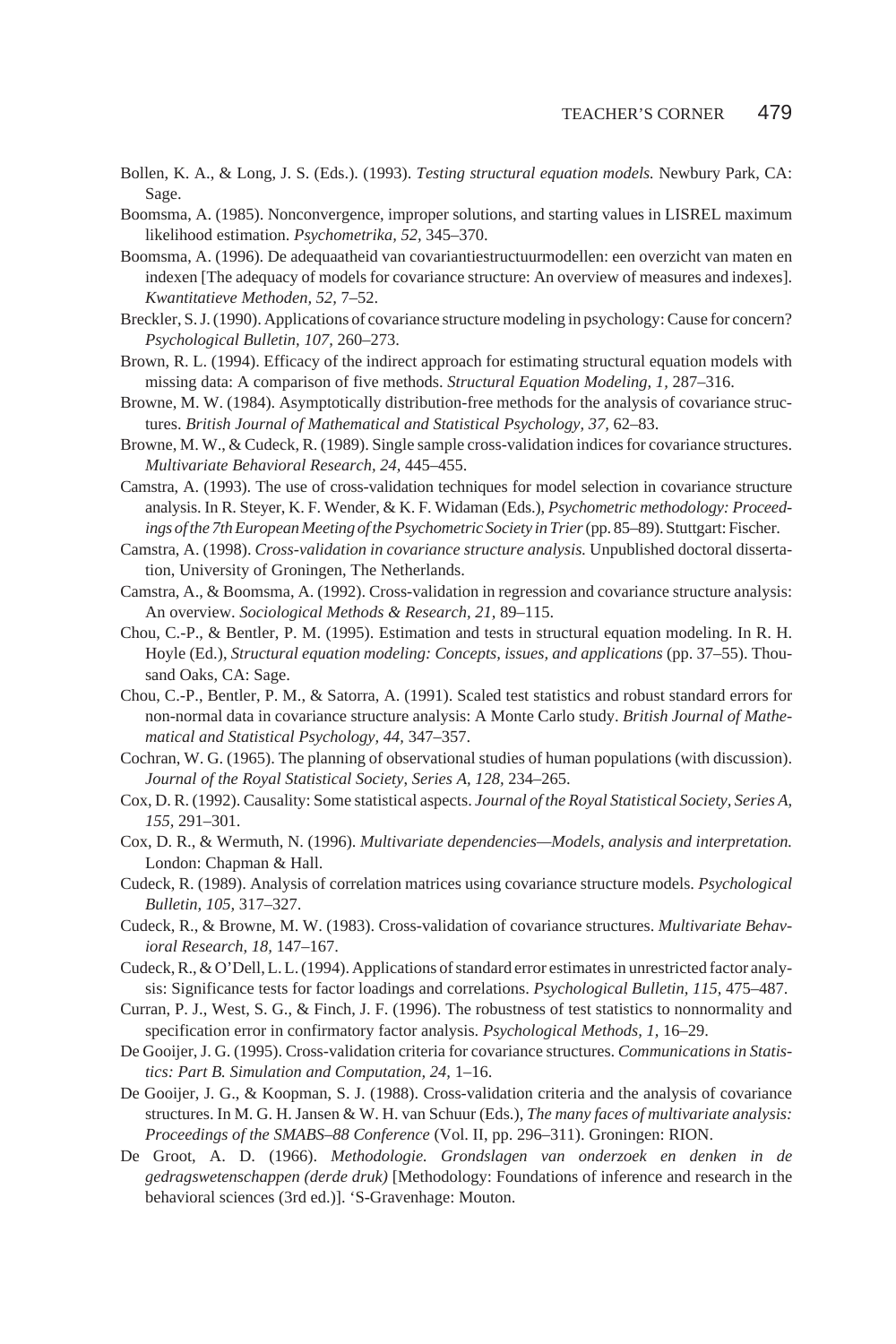- Bollen, K. A., & Long, J. S. (Eds.). (1993). *Testing structural equation models.* Newbury Park, CA: Sage.
- Boomsma, A. (1985). Nonconvergence, improper solutions, and starting values in LISREL maximum likelihood estimation. *Psychometrika, 52,* 345–370.
- Boomsma, A. (1996). De adequaatheid van covariantiestructuurmodellen: een overzicht van maten en indexen [The adequacy of models for covariance structure: An overview of measures and indexes]. *Kwantitatieve Methoden, 52,* 7–52.
- Breckler, S. J. (1990). Applications of covariance structure modeling in psychology: Cause for concern? *Psychological Bulletin, 107,* 260–273.
- Brown, R. L. (1994). Efficacy of the indirect approach for estimating structural equation models with missing data: A comparison of five methods. *Structural Equation Modeling, 1,* 287–316.
- Browne, M. W. (1984). Asymptotically distribution-free methods for the analysis of covariance structures. *British Journal of Mathematical and Statistical Psychology, 37,* 62–83.
- Browne, M. W., & Cudeck, R. (1989). Single sample cross-validation indices for covariance structures. *Multivariate Behavioral Research, 24,* 445–455.
- Camstra, A. (1993). The use of cross-validation techniques for model selection in covariance structure analysis. In R. Steyer, K. F. Wender, & K. F. Widaman (Eds.), *Psychometric methodology: Proceedings of the 7th European Meeting of the Psychometric Society in Trier*(pp. 85–89). Stuttgart: Fischer.
- Camstra, A. (1998). *Cross-validation in covariance structure analysis.* Unpublished doctoral dissertation, University of Groningen, The Netherlands.
- Camstra, A., & Boomsma, A. (1992). Cross-validation in regression and covariance structure analysis: An overview. *Sociological Methods & Research, 21,* 89–115.
- Chou, C.-P., & Bentler, P. M. (1995). Estimation and tests in structural equation modeling. In R. H. Hoyle (Ed.), *Structural equation modeling: Concepts, issues, and applications* (pp. 37–55). Thousand Oaks, CA: Sage.
- Chou, C.-P., Bentler, P. M., & Satorra, A. (1991). Scaled test statistics and robust standard errors for non-normal data in covariance structure analysis: A Monte Carlo study. *British Journal of Mathematical and Statistical Psychology, 44,* 347–357.
- Cochran, W. G. (1965). The planning of observational studies of human populations (with discussion). *Journal of the Royal Statistical Society*, *Series A, 128,* 234–265.
- Cox, D. R. (1992). Causality: Some statistical aspects. *Journal of the Royal Statistical Society, Series A, 155,* 291–301.
- Cox, D. R., & Wermuth, N. (1996). *Multivariate dependencies—Models, analysis and interpretation.* London: Chapman & Hall.
- Cudeck, R. (1989). Analysis of correlation matrices using covariance structure models. *Psychological Bulletin, 105,* 317–327.
- Cudeck, R., & Browne, M. W. (1983). Cross-validation of covariance structures. *Multivariate Behavioral Research, 18,* 147–167.
- Cudeck, R., & O'Dell, L. L. (1994). Applications of standard error estimates in unrestricted factor analysis: Significance tests for factor loadings and correlations. *Psychological Bulletin, 115,* 475–487.
- Curran, P. J., West, S. G., & Finch, J. F. (1996). The robustness of test statistics to nonnormality and specification error in confirmatory factor analysis. *Psychological Methods, 1,* 16–29.
- De Gooijer, J. G. (1995). Cross-validation criteria for covariance structures. *Communications in Statistics: Part B. Simulation and Computation, 24,* 1–16.
- De Gooijer, J. G., & Koopman, S. J. (1988). Cross-validation criteria and the analysis of covariance structures. In M. G. H. Jansen & W. H. van Schuur (Eds.), *The many faces of multivariate analysis: Proceedings of the SMABS–88 Conference* (Vol. II, pp. 296–311). Groningen: RION.
- De Groot, A. D. (1966). *Methodologie. Grondslagen van onderzoek en denken in de gedragswetenschappen (derde druk)* [Methodology: Foundations of inference and research in the behavioral sciences (3rd ed.)]. 'S-Gravenhage: Mouton.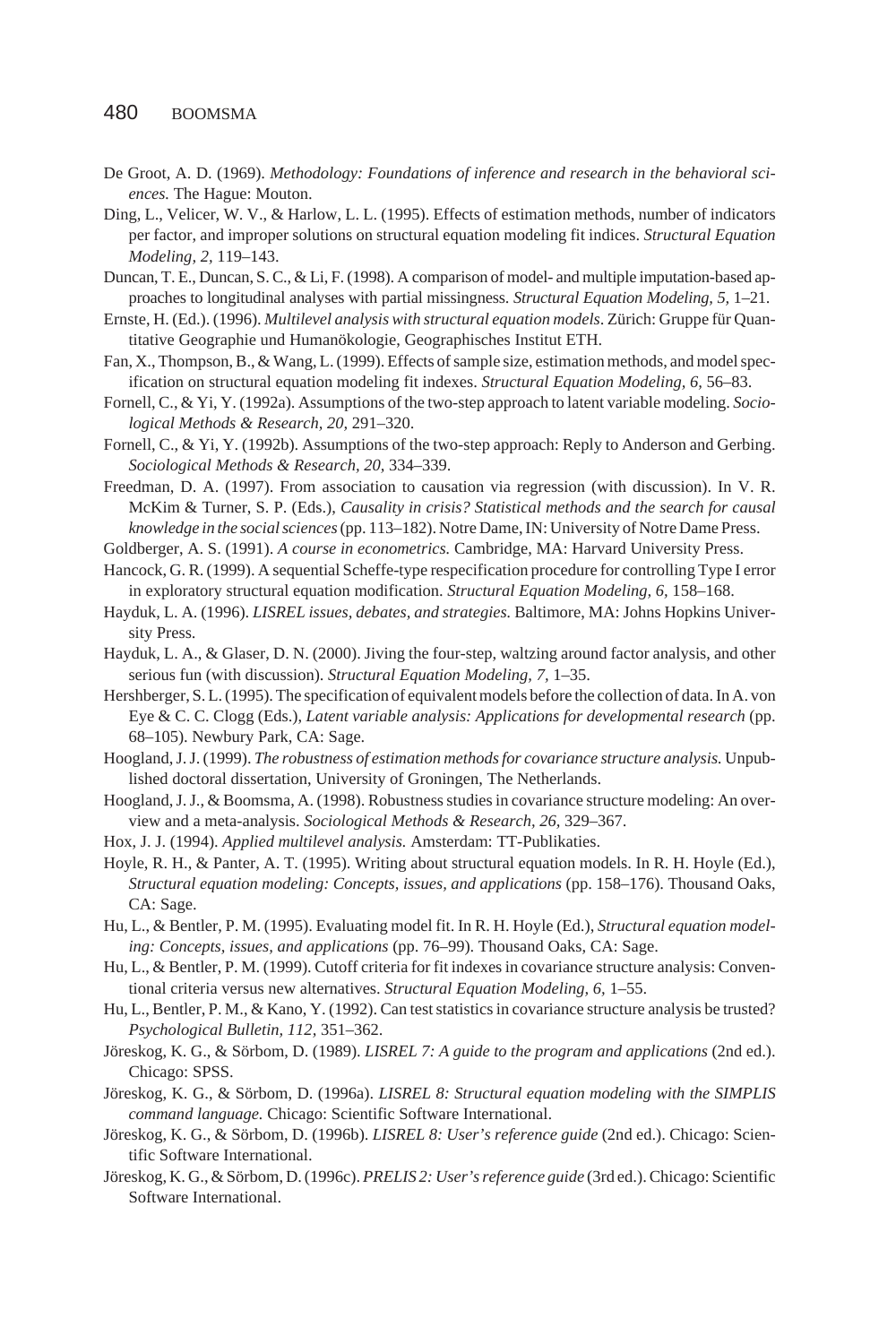- De Groot, A. D. (1969). *Methodology: Foundations of inference and research in the behavioral sciences.* The Hague: Mouton.
- Ding, L., Velicer, W. V., & Harlow, L. L. (1995). Effects of estimation methods, number of indicators per factor, and improper solutions on structural equation modeling fit indices. *Structural Equation Modeling, 2,* 119–143.
- Duncan, T. E., Duncan, S. C., & Li, F. (1998). A comparison of model- and multiple imputation-based approaches to longitudinal analyses with partial missingness. *Structural Equation Modeling, 5,* 1–21.
- Ernste, H. (Ed.). (1996). *Multilevel analysis with structural equation models*. Zürich: Gruppe für Quantitative Geographie und Humanökologie, Geographisches Institut ETH.
- Fan, X., Thompson, B., & Wang, L. (1999). Effects of sample size, estimation methods, and model specification on structural equation modeling fit indexes. *Structural Equation Modeling, 6,* 56–83.
- Fornell, C., & Yi, Y. (1992a). Assumptions of the two-step approach to latent variable modeling. *Sociological Methods & Research, 20,* 291–320.
- Fornell, C., & Yi, Y. (1992b). Assumptions of the two-step approach: Reply to Anderson and Gerbing. *Sociological Methods & Research, 20,* 334–339.
- Freedman, D. A. (1997). From association to causation via regression (with discussion). In V. R. McKim & Turner, S. P. (Eds.), *Causality in crisis? Statistical methods and the search for causal knowledge in the social sciences*(pp. 113–182). Notre Dame, IN: University of Notre Dame Press.
- Goldberger, A. S. (1991). *A course in econometrics.* Cambridge, MA: Harvard University Press.
- Hancock, G. R. (1999). A sequential Scheffe-type respecification procedure for controlling Type I error in exploratory structural equation modification. *Structural Equation Modeling, 6,* 158–168.
- Hayduk, L. A. (1996). *LISREL issues, debates, and strategies.* Baltimore, MA: Johns Hopkins University Press.
- Hayduk, L. A., & Glaser, D. N. (2000). Jiving the four-step, waltzing around factor analysis, and other serious fun (with discussion). *Structural Equation Modeling, 7,* 1–35.
- Hershberger, S. L. (1995). The specification of equivalent models before the collection of data. In A. von Eye & C. C. Clogg (Eds.), *Latent variable analysis: Applications for developmental research* (pp. 68–105). Newbury Park, CA: Sage.
- Hoogland, J. J. (1999). *The robustness of estimation methods for covariance structure analysis.* Unpublished doctoral dissertation, University of Groningen, The Netherlands.
- Hoogland, J. J., & Boomsma, A. (1998). Robustness studies in covariance structure modeling: An overview and a meta-analysis. *Sociological Methods & Research, 26,* 329–367.
- Hox, J. J. (1994). *Applied multilevel analysis.* Amsterdam: TT-Publikaties.
- Hoyle, R. H., & Panter, A. T. (1995). Writing about structural equation models. In R. H. Hoyle (Ed.), *Structural equation modeling: Concepts, issues, and applications* (pp. 158–176). Thousand Oaks, CA: Sage.
- Hu, L., & Bentler, P. M. (1995). Evaluating model fit. In R. H. Hoyle (Ed.), *Structural equation modeling: Concepts, issues, and applications* (pp. 76–99). Thousand Oaks, CA: Sage.
- Hu, L., & Bentler, P. M. (1999). Cutoff criteria for fit indexes in covariance structure analysis: Conventional criteria versus new alternatives. *Structural Equation Modeling, 6,* 1–55.
- Hu, L., Bentler, P. M., & Kano, Y. (1992). Can test statistics in covariance structure analysis be trusted? *Psychological Bulletin, 112,* 351–362.
- Jöreskog, K. G., & Sörbom, D. (1989). *LISREL 7: A guide to the program and applications* (2nd ed.). Chicago: SPSS.
- Jöreskog, K. G., & Sörbom, D. (1996a). *LISREL 8: Structural equation modeling with the SIMPLIS command language.* Chicago: Scientific Software International.
- Jöreskog, K. G., & Sörbom, D. (1996b). *LISREL 8: User's reference guide* (2nd ed.). Chicago: Scientific Software International.
- Jöreskog, K. G., & Sörbom, D. (1996c). *PRELIS 2: User's reference guide* (3rd ed.). Chicago: Scientific Software International.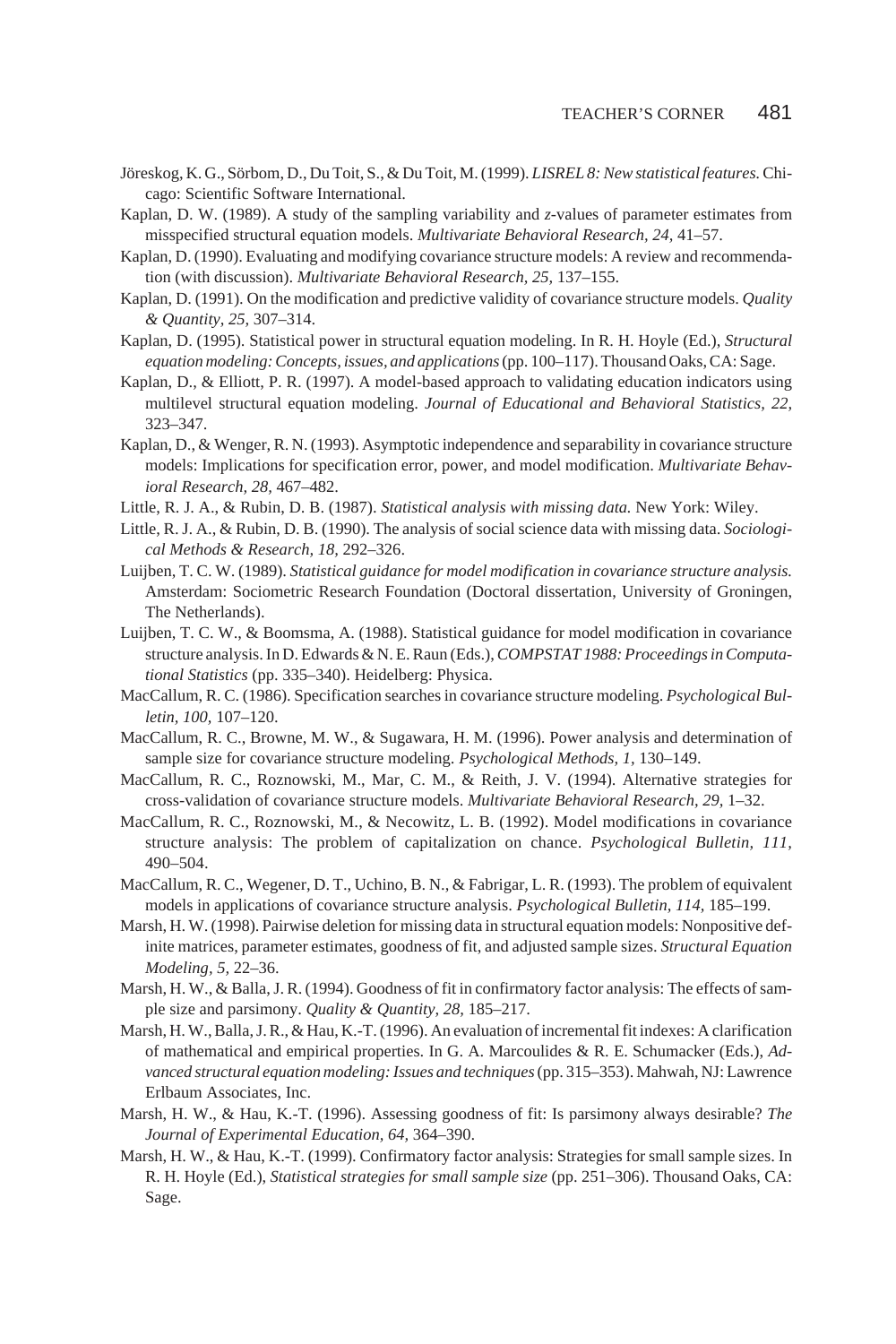- Jöreskog, K. G., Sörbom, D., Du Toit, S., & Du Toit, M. (1999). *LISREL 8: New statistical features.*Chicago: Scientific Software International.
- Kaplan, D. W. (1989). A study of the sampling variability and *z*-values of parameter estimates from misspecified structural equation models. *Multivariate Behavioral Research, 24,* 41–57.
- Kaplan, D. (1990). Evaluating and modifying covariance structure models: A review and recommendation (with discussion). *Multivariate Behavioral Research, 25,* 137–155.
- Kaplan, D. (1991). On the modification and predictive validity of covariance structure models. *Quality & Quantity, 25,* 307–314.
- Kaplan, D. (1995). Statistical power in structural equation modeling. In R. H. Hoyle (Ed.), *Structural equation modeling: Concepts, issues, and applications*(pp. 100–117). Thousand Oaks, CA: Sage.
- Kaplan, D., & Elliott, P. R. (1997). A model-based approach to validating education indicators using multilevel structural equation modeling. *Journal of Educational and Behavioral Statistics, 22,* 323–347.
- Kaplan, D., & Wenger, R. N. (1993). Asymptotic independence and separability in covariance structure models: Implications for specification error, power, and model modification. *Multivariate Behavioral Research, 28,* 467–482.
- Little, R. J. A., & Rubin, D. B. (1987). *Statistical analysis with missing data.* New York: Wiley.
- Little, R. J. A., & Rubin, D. B. (1990). The analysis of social science data with missing data. *Sociological Methods & Research, 18,* 292–326.
- Luijben, T. C. W. (1989). *Statistical guidance for model modification in covariance structure analysis.* Amsterdam: Sociometric Research Foundation (Doctoral dissertation, University of Groningen, The Netherlands).
- Luijben, T. C. W., & Boomsma, A. (1988). Statistical guidance for model modification in covariance structure analysis. In D. Edwards & N. E. Raun (Eds.),*COMPSTAT 1988: Proceedings in Computational Statistics* (pp. 335–340). Heidelberg: Physica.
- MacCallum, R. C. (1986). Specification searches in covariance structure modeling. *Psychological Bulletin, 100,* 107–120.
- MacCallum, R. C., Browne, M. W., & Sugawara, H. M. (1996). Power analysis and determination of sample size for covariance structure modeling. *Psychological Methods, 1,* 130–149.
- MacCallum, R. C., Roznowski, M., Mar, C. M., & Reith, J. V. (1994). Alternative strategies for cross-validation of covariance structure models. *Multivariate Behavioral Research, 29,* 1–32.
- MacCallum, R. C., Roznowski, M., & Necowitz, L. B. (1992). Model modifications in covariance structure analysis: The problem of capitalization on chance. *Psychological Bulletin, 111,* 490–504.
- MacCallum, R. C., Wegener, D. T., Uchino, B. N., & Fabrigar, L. R. (1993). The problem of equivalent models in applications of covariance structure analysis. *Psychological Bulletin, 114,* 185–199.
- Marsh, H. W. (1998). Pairwise deletion for missing data in structural equation models: Nonpositive definite matrices, parameter estimates, goodness of fit, and adjusted sample sizes. *Structural Equation Modeling, 5,* 22–36.
- Marsh, H. W., & Balla, J. R. (1994). Goodness of fit in confirmatory factor analysis: The effects of sample size and parsimony. *Quality & Quantity, 28,* 185–217.
- Marsh, H. W., Balla, J. R., & Hau, K.-T. (1996). An evaluation of incremental fit indexes: A clarification of mathematical and empirical properties. In G. A. Marcoulides & R. E. Schumacker (Eds.), *Advanced structural equation modeling: Issues and techniques*(pp. 315–353). Mahwah, NJ: Lawrence Erlbaum Associates, Inc.
- Marsh, H. W., & Hau, K.-T. (1996). Assessing goodness of fit: Is parsimony always desirable? *The Journal of Experimental Education, 64,* 364–390.
- Marsh, H. W., & Hau, K.-T. (1999). Confirmatory factor analysis: Strategies for small sample sizes. In R. H. Hoyle (Ed.), *Statistical strategies for small sample size* (pp. 251–306). Thousand Oaks, CA: Sage.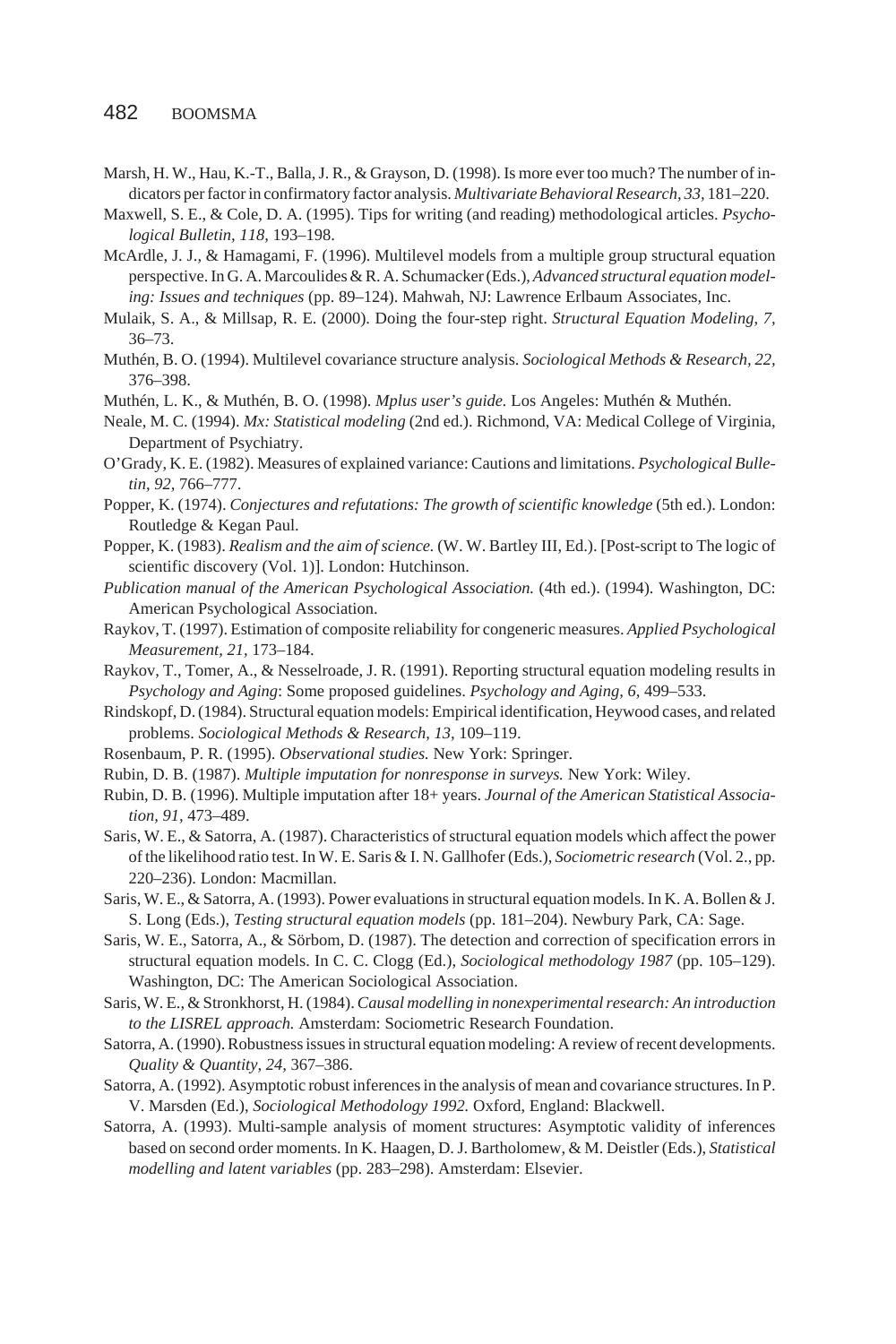- Marsh, H. W., Hau, K.-T., Balla, J. R., & Grayson, D. (1998). Is more ever too much? The number of indicators per factor in confirmatory factor analysis. *Multivariate Behavioral Research, 33,* 181–220.
- Maxwell, S. E., & Cole, D. A. (1995). Tips for writing (and reading) methodological articles. *Psychological Bulletin, 118,* 193–198.
- McArdle, J. J., & Hamagami, F. (1996). Multilevel models from a multiple group structural equation perspective. In G. A. Marcoulides & R. A. Schumacker (Eds.), *Advanced structural equation modeling: Issues and techniques* (pp. 89–124). Mahwah, NJ: Lawrence Erlbaum Associates, Inc.
- Mulaik, S. A., & Millsap, R. E. (2000). Doing the four-step right. *Structural Equation Modeling, 7,* 36–73.
- Muthén, B. O. (1994). Multilevel covariance structure analysis. *Sociological Methods & Research, 22,* 376–398.
- Muthén, L. K., & Muthén, B. O. (1998). *Mplus user's guide.* Los Angeles: Muthén & Muthén.
- Neale, M. C. (1994). *Mx: Statistical modeling* (2nd ed.). Richmond, VA: Medical College of Virginia, Department of Psychiatry.
- O'Grady, K. E. (1982). Measures of explained variance: Cautions and limitations. *Psychological Bulletin, 92,* 766–777.
- Popper, K. (1974). *Conjectures and refutations: The growth of scientific knowledge* (5th ed.). London: Routledge & Kegan Paul.
- Popper, K. (1983). *Realism and the aim of science.* (W. W. Bartley III, Ed.). [Post-script to The logic of scientific discovery (Vol. 1)]. London: Hutchinson.
- *Publication manual of the American Psychological Association.* (4th ed.). (1994). Washington, DC: American Psychological Association.
- Raykov, T. (1997). Estimation of composite reliability for congeneric measures. *Applied Psychological Measurement, 21,* 173–184.
- Raykov, T., Tomer, A., & Nesselroade, J. R. (1991). Reporting structural equation modeling results in *Psychology and Aging*: Some proposed guidelines. *Psychology and Aging, 6,* 499–533.
- Rindskopf, D. (1984). Structural equation models: Empirical identification, Heywood cases, and related problems. *Sociological Methods & Research, 13,* 109–119.
- Rosenbaum, P. R. (1995). *Observational studies.* New York: Springer.
- Rubin, D. B. (1987). *Multiple imputation for nonresponse in surveys.* New York: Wiley.
- Rubin, D. B. (1996). Multiple imputation after 18+ years. *Journal of the American Statistical Association, 91,* 473–489.
- Saris, W. E., & Satorra, A. (1987). Characteristics of structural equation models which affect the power of the likelihood ratio test. In W. E. Saris & I. N. Gallhofer (Eds.), *Sociometric research* (Vol. 2., pp. 220–236). London: Macmillan.
- Saris, W. E., & Satorra, A. (1993). Power evaluations in structural equation models. In K. A. Bollen & J. S. Long (Eds.), *Testing structural equation models* (pp. 181–204). Newbury Park, CA: Sage.
- Saris, W. E., Satorra, A., & Sörbom, D. (1987). The detection and correction of specification errors in structural equation models. In C. C. Clogg (Ed.), *Sociological methodology 1987* (pp. 105–129). Washington, DC: The American Sociological Association.
- Saris, W. E., & Stronkhorst, H. (1984).*Causal modelling in nonexperimental research: An introduction to the LISREL approach.* Amsterdam: Sociometric Research Foundation.
- Satorra, A. (1990). Robustness issues in structural equation modeling: A review of recent developments. *Quality & Quantity, 24,* 367–386.
- Satorra, A. (1992). Asymptotic robust inferences in the analysis of mean and covariance structures. In P. V. Marsden (Ed.), *Sociological Methodology 1992.* Oxford, England: Blackwell.
- Satorra, A. (1993). Multi-sample analysis of moment structures: Asymptotic validity of inferences based on second order moments. In K. Haagen, D. J. Bartholomew, & M. Deistler (Eds.), *Statistical modelling and latent variables* (pp. 283–298). Amsterdam: Elsevier.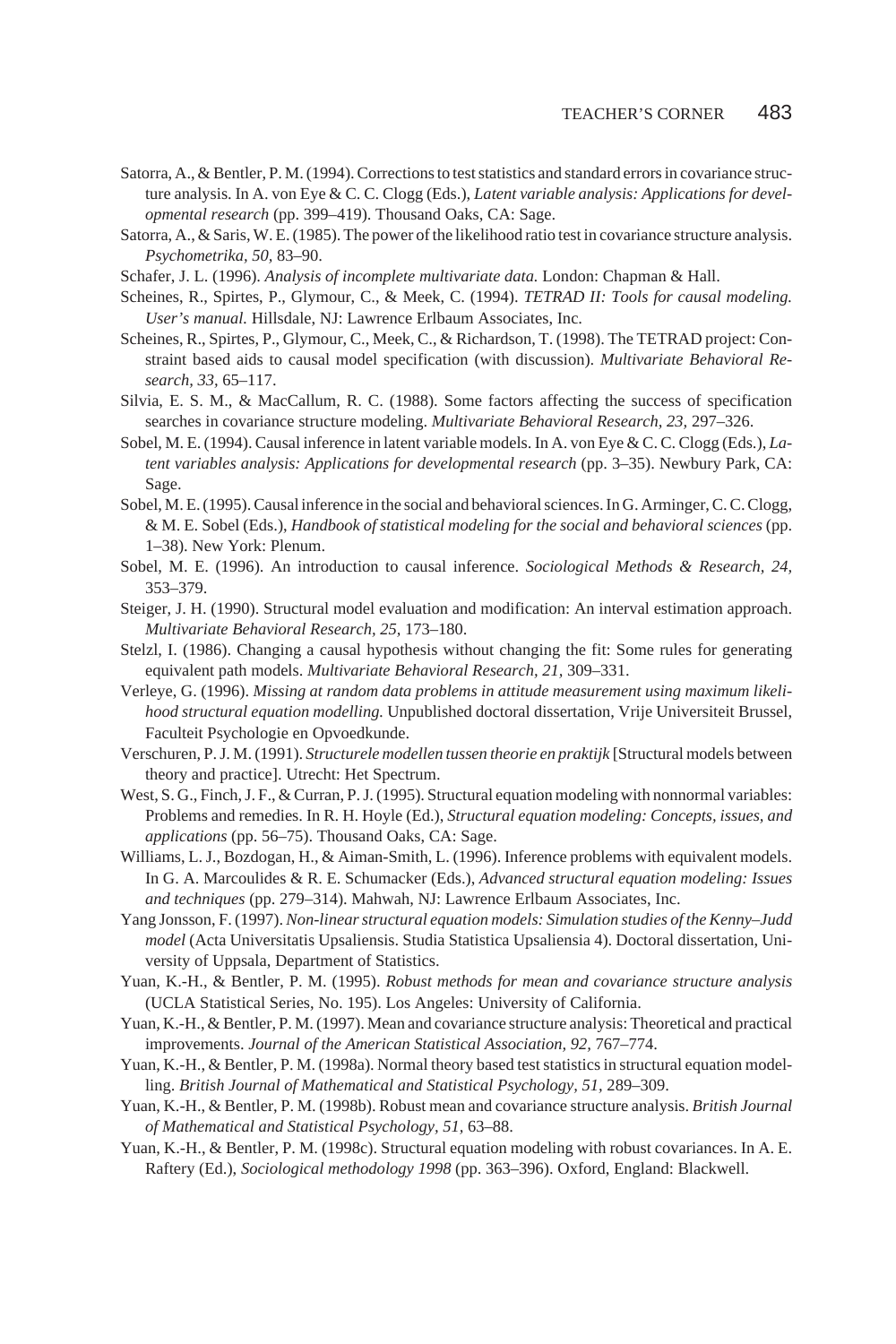- Satorra, A., & Bentler, P. M. (1994). Corrections to test statistics and standard errors in covariance structure analysis. In A. von Eye & C. C. Clogg (Eds.), *Latent variable analysis: Applications for developmental research* (pp. 399–419). Thousand Oaks, CA: Sage.
- Satorra, A., & Saris, W. E. (1985). The power of the likelihood ratio test in covariance structure analysis. *Psychometrika, 50,* 83–90.
- Schafer, J. L. (1996). *Analysis of incomplete multivariate data.* London: Chapman & Hall.
- Scheines, R., Spirtes, P., Glymour, C., & Meek, C. (1994). *TETRAD II: Tools for causal modeling. User's manual.* Hillsdale, NJ: Lawrence Erlbaum Associates, Inc.
- Scheines, R., Spirtes, P., Glymour, C., Meek, C., & Richardson, T. (1998). The TETRAD project: Constraint based aids to causal model specification (with discussion). *Multivariate Behavioral Research, 33,* 65–117.
- Silvia, E. S. M., & MacCallum, R. C. (1988). Some factors affecting the success of specification searches in covariance structure modeling. *Multivariate Behavioral Research, 23,* 297–326.
- Sobel, M. E. (1994). Causal inference in latent variable models. In A. von Eye & C. C. Clogg (Eds.), *Latent variables analysis: Applications for developmental research* (pp. 3–35). Newbury Park, CA: Sage.
- Sobel, M. E. (1995). Causal inference in the social and behavioral sciences. In G. Arminger, C. C. Clogg, & M. E. Sobel (Eds.), *Handbook of statistical modeling for the social and behavioral sciences* (pp. 1–38). New York: Plenum.
- Sobel, M. E. (1996). An introduction to causal inference. *Sociological Methods & Research, 24,* 353–379.
- Steiger, J. H. (1990). Structural model evaluation and modification: An interval estimation approach. *Multivariate Behavioral Research, 25,* 173–180.
- Stelzl, I. (1986). Changing a causal hypothesis without changing the fit: Some rules for generating equivalent path models. *Multivariate Behavioral Research, 21,* 309–331.
- Verleye, G. (1996). *Missing at random data problems in attitude measurement using maximum likelihood structural equation modelling.* Unpublished doctoral dissertation, Vrije Universiteit Brussel, Faculteit Psychologie en Opvoedkunde.
- Verschuren, P. J. M. (1991). *Structurele modellen tussen theorie en praktijk* [Structural models between theory and practice]. Utrecht: Het Spectrum.
- West, S. G., Finch, J. F., & Curran, P. J. (1995). Structural equation modeling with nonnormal variables: Problems and remedies. In R. H. Hoyle (Ed.), *Structural equation modeling: Concepts, issues, and applications* (pp. 56–75). Thousand Oaks, CA: Sage.
- Williams, L. J., Bozdogan, H., & Aiman-Smith, L. (1996). Inference problems with equivalent models. In G. A. Marcoulides & R. E. Schumacker (Eds.), *Advanced structural equation modeling: Issues and techniques* (pp. 279–314). Mahwah, NJ: Lawrence Erlbaum Associates, Inc.
- Yang Jonsson, F. (1997). *Non-linear structural equation models: Simulation studies of the Kenny–Judd model* (Acta Universitatis Upsaliensis. Studia Statistica Upsaliensia 4). Doctoral dissertation, University of Uppsala, Department of Statistics.
- Yuan, K.-H., & Bentler, P. M. (1995). *Robust methods for mean and covariance structure analysis* (UCLA Statistical Series, No. 195). Los Angeles: University of California.
- Yuan, K.-H., & Bentler, P. M. (1997). Mean and covariance structure analysis: Theoretical and practical improvements. *Journal of the American Statistical Association, 92,* 767–774.
- Yuan, K.-H., & Bentler, P. M. (1998a). Normal theory based test statistics in structural equation modelling. *British Journal of Mathematical and Statistical Psychology, 51,* 289–309.
- Yuan, K.-H., & Bentler, P. M. (1998b). Robust mean and covariance structure analysis. *British Journal of Mathematical and Statistical Psychology, 51,* 63–88.
- Yuan, K.-H., & Bentler, P. M. (1998c). Structural equation modeling with robust covariances. In A. E. Raftery (Ed.), *Sociological methodology 1998* (pp. 363–396). Oxford, England: Blackwell.